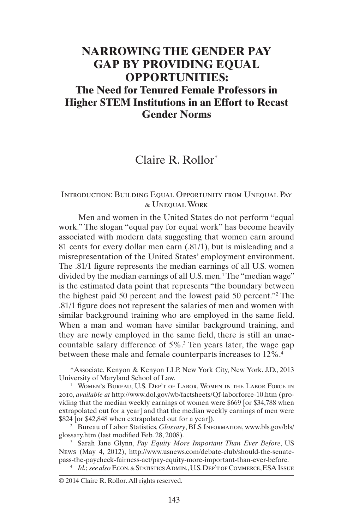# **NARROWING THE GENDER PAY GAP BY PROVIDING EQUAL OPPORTUNITIES: The Need for Tenured Female Professors in Higher STEM Institutions in an Effort to Recast Gender Norms**

Claire R. Rollor\*

# Introduction: Building Equal Opportunity from Unequal Pay & Unequal Work

Men and women in the United States do not perform "equal work." The slogan "equal pay for equal work" has become heavily associated with modern data suggesting that women earn around 81 cents for every dollar men earn (.81/1), but is misleading and a misrepresentation of the United States' employment environment. The .81/1 figure represents the median earnings of all U.S. women divided by the median earnings of all U.S. men.<sup>1</sup> The "median wage" is the estimated data point that represents "the boundary between the highest paid 50 percent and the lowest paid 50 percent."2 The .81/1 figure does not represent the salaries of men and women with similar background training who are employed in the same field. When a man and woman have similar background training, and they are newly employed in the same field, there is still an unaccountable salary difference of 5%.3 Ten years later, the wage gap between these male and female counterparts increases to 12%.<sup>4</sup>

<sup>\*</sup>Associate, Kenyon & Kenyon LLP, New York City, New York. J.D., 2013 University of Maryland School of Law.

<sup>&</sup>lt;sup>1</sup> WOMEN'S BUREAU, U.S. DEP'T OF LABOR, WOMEN IN THE LABOR FORCE IN 2010, *available at* <http://www.dol.gov/wb/factsheets/Qf-laborforce-10.htm>(providing that the median weekly earnings of women were \$669 [or \$34,788 when extrapolated out for a year] and that the median weekly earnings of men were \$824 [or \$42,848 when extrapolated out for a year]).

<sup>&</sup>lt;sup>2</sup> Bureau of Labor Statistics, *Glossary*, BLS INFORMATION, [www.bls.gov/bls/](http://www.bls.gov/bls/glossary.htm) [glossary.htm](http://www.bls.gov/bls/glossary.htm) (last modified Feb. 28, 2008).

<sup>3</sup> Sarah Jane Glynn, *Pay Equity More Important Than Ever Before*, US News (May 4, 2012), [http://www.usnews.com/debate-club/should-the-senate](http://www.usnews.com/debate-club/should-the-senate-pass-the-paycheck-fairness-act/pay-equity-more-important-than-ever-before)[pass-the-paycheck-fairness-act/pay-equity-more-important-than-ever-before.](http://www.usnews.com/debate-club/should-the-senate-pass-the-paycheck-fairness-act/pay-equity-more-important-than-ever-before)

<sup>4</sup> *Id.*; *see also* Econ. & Statistics Admin., U.S. Dep't of Commerce, ESA Issue

<sup>© 2014</sup> Claire R. Rollor. All rights reserved.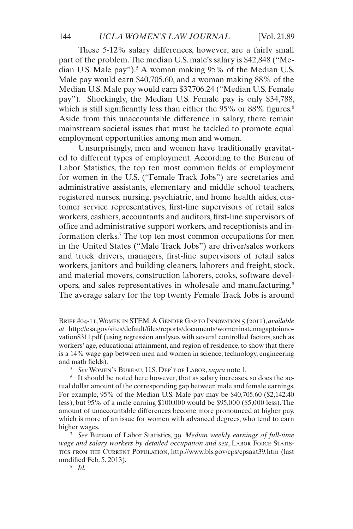These 5-12% salary differences, however, are a fairly small part of the problem. The median U.S. male's salary is \$42,848 ("Median U.S. Male pay").<sup>5</sup> A woman making 95% of the Median U.S. Male pay would earn \$40,705.60, and a woman making 88% of the Median U.S. Male pay would earn \$37,706.24 ("Median U.S. Female pay"). Shockingly, the Median U.S. Female pay is only \$34,788, which is still significantly less than either the  $95\%$  or  $88\%$  figures.<sup>6</sup> Aside from this unaccountable difference in salary, there remain mainstream societal issues that must be tackled to promote equal employment opportunities among men and women.

Unsurprisingly, men and women have traditionally gravitated to different types of employment. According to the Bureau of Labor Statistics, the top ten most common fields of employment for women in the U.S. ("Female Track Jobs") are secretaries and administrative assistants, elementary and middle school teachers, registered nurses, nursing, psychiatric, and home health aides, customer service representatives, first-line supervisors of retail sales workers, cashiers, accountants and auditors, first-line supervisors of office and administrative support workers, and receptionists and information clerks.<sup>7</sup> The top ten most common occupations for men in the United States ("Male Track Jobs") are driver/sales workers and truck drivers, managers, first-line supervisors of retail sales workers, janitors and building cleaners, laborers and freight, stock, and material movers, construction laborers, cooks, software developers, and sales representatives in wholesale and manufacturing.8 The average salary for the top twenty Female Track Jobs is around

Brief #04-11, Women in STEM: A Gender Gap to Innovation 5 (2011), *available at* http://esa.gov/sites/default/files/reports/documents/womeninstemagaptoinnovation8311.pdf (using regression analyses with several controlled factors, such as workers' age, educational attainment, and region of residence, to show that there is a 14% wage gap between men and women in science, technology, engineering and math fields).

<sup>5</sup> *See* Women's Bureau, U.S. Dep't of Labor, *supra* note 1.

<sup>6</sup> It should be noted here however, that as salary increases, so does the actual dollar amount of the corresponding gap between male and female earnings. For example, 95% of the Median U.S. Male pay may be \$40,705.60 (\$2,142.40 less), but 95% of a male earning \$100,000 would be \$95,000 (\$5,000 less). The amount of unaccountable differences become more pronounced at higher pay, which is more of an issue for women with advanced degrees, who tend to earn higher wages.

<sup>7</sup> *See* Bureau of Labor Statistics, 39. *Median weekly earnings of full-time*  wage and salary workers by detailed occupation and sex, LABOR FORCE STATIStics from the Current Population, <http://www.bls.gov/cps/cpsaat39.htm> (last modified Feb. 5, 2013).

<sup>8</sup> *Id.*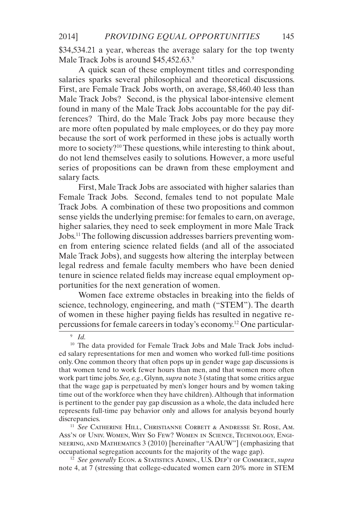\$34,534.21 a year, whereas the average salary for the top twenty Male Track Jobs is around \$45,452.63.9

A quick scan of these employment titles and corresponding salaries sparks several philosophical and theoretical discussions. First, are Female Track Jobs worth, on average, \$8,460.40 less than Male Track Jobs? Second, is the physical labor-intensive element found in many of the Male Track Jobs accountable for the pay differences? Third, do the Male Track Jobs pay more because they are more often populated by male employees, or do they pay more because the sort of work performed in these jobs is actually worth more to society?<sup>10</sup> These questions, while interesting to think about, do not lend themselves easily to solutions. However, a more useful series of propositions can be drawn from these employment and salary facts.

First, Male Track Jobs are associated with higher salaries than Female Track Jobs. Second, females tend to not populate Male Track Jobs. A combination of these two propositions and common sense yields the underlying premise: for females to earn, on average, higher salaries, they need to seek employment in more Male Track Jobs.11 The following discussion addresses barriers preventing women from entering science related fields (and all of the associated Male Track Jobs), and suggests how altering the interplay between legal redress and female faculty members who have been denied tenure in science related fields may increase equal employment opportunities for the next generation of women.

Women face extreme obstacles in breaking into the fields of science, technology, engineering, and math ("STEM"). The dearth of women in these higher paying fields has resulted in negative repercussions for female careers in today's economy.12 One particular-

<sup>11</sup> *See* Catherine Hill, Christianne Corbett & Andresse St. Rose, Am. Ass'n of Univ. Women, Why So Few? Women in Science, Technology, Engineering, and Mathematics 3 (2010) [hereinafter "AAUW"] (emphasizing that occupational segregation accounts for the majority of the wage gap).

<sup>12</sup> *See generally* Econ. & Statistics Admin., U.S. Dep't of Commerce, *supra* note 4, at 7 (stressing that college-educated women earn 20% more in STEM

<sup>9</sup> *Id.*

<sup>&</sup>lt;sup>10</sup> The data provided for Female Track Jobs and Male Track Jobs included salary representations for men and women who worked full-time positions only. One common theory that often pops up in gender wage gap discussions is that women tend to work fewer hours than men, and that women more often work part time jobs. *See, e.g.*, Glynn*, supra* note 3 (stating that some critics argue that the wage gap is perpetuated by men's longer hours and by women taking time out of the workforce when they have children). Although that information is pertinent to the gender pay gap discussion as a whole, the data included here represents full-time pay behavior only and allows for analysis beyond hourly discrepancies.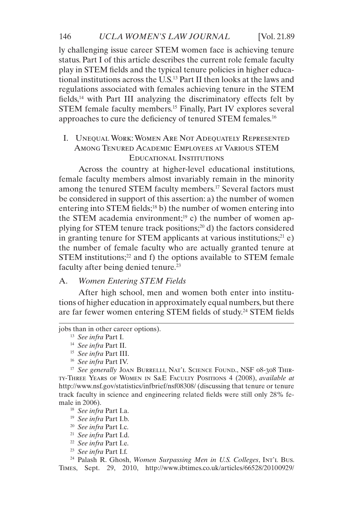#### 146 *UCLA WOMEN'S LAW JOURNAL* [Vol. 21.89]

ly challenging issue career STEM women face is achieving tenure status. Part I of this article describes the current role female faculty play in STEM fields and the typical tenure policies in higher educational institutions across the U.S.13 Part II then looks at the laws and regulations associated with females achieving tenure in the STEM fields,14 with Part III analyzing the discriminatory effects felt by STEM female faculty members.15 Finally, Part IV explores several approaches to cure the deficiency of tenured STEM females.16

# I. Unequal Work: Women Are Not Adequately Represented Among Tenured Academic Employees at Various STEM Educational Institutions

Across the country at higher-level educational institutions, female faculty members almost invariably remain in the minority among the tenured STEM faculty members.<sup>17</sup> Several factors must be considered in support of this assertion: a) the number of women entering into STEM fields;<sup>18</sup> b) the number of women entering into the STEM academia environment;<sup>19</sup> c) the number of women applying for STEM tenure track positions; $^{20}$  d) the factors considered in granting tenure for STEM applicants at various institutions; $^{21}$  e) the number of female faculty who are actually granted tenure at  $STEM$  institutions;<sup>22</sup> and f) the options available to  $STEM$  female faculty after being denied tenure.<sup>23</sup>

# A. *Women Entering STEM Fields*

After high school, men and women both enter into institutions of higher education in approximately equal numbers, but there are far fewer women entering STEM fields of study.24 STEM fields

jobs than in other career options).

<sup>16</sup> *See infra* Part IV.

<sup>17</sup> See generally JOAN BURRELLI, NAT'L SCIENCE FOUND., NSF 08-308 THIRty-Three Years of Women in S&E Faculty Positions 4 (2008), *available at* <http://www.nsf.gov/statistics/infbrief/nsf08308/>(discussing that tenure or tenure track faculty in science and engineering related fields were still only 28% female in 2006).

- <sup>18</sup> *See infra* Part I.a.
- <sup>19</sup> *See infra* Part I.b.
- <sup>20</sup> *See infra* Part I.c.
- <sup>21</sup> *See infra* Part I.d.
- <sup>22</sup> *See infra* Part I.e.
- <sup>23</sup> *See infra* Part I.f.

<sup>24</sup> Palash R. Ghosh, *Women Surpassing Men in U.S. Colleges*, Int't Bus. Times, Sept. 29, 2010, [http://www.ibtimes.co.uk/articles/66528/20100929/](http://www.ibtimes.co.uk/articles/66528/20100929/education-colleges-men-women.htm)

<sup>13</sup> *See infra* Part I.

<sup>14</sup> *See infra* Part II.

<sup>15</sup> *See infra* Part III.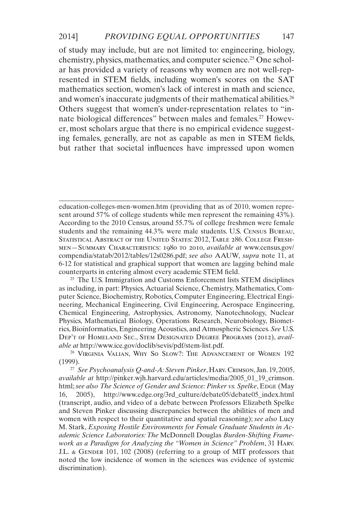of study may include, but are not limited to: engineering, biology, chemistry, physics, mathematics, and computer science.<sup>25</sup> One scholar has provided a variety of reasons why women are not well-represented in STEM fields, including women's scores on the SAT mathematics section, women's lack of interest in math and science, and women's inaccurate judgments of their mathematical abilities.<sup>26</sup> Others suggest that women's under-representation relates to "innate biological differences" between males and females.<sup>27</sup> However, most scholars argue that there is no empirical evidence suggesting females, generally, are not as capable as men in STEM fields, but rather that societal influences have impressed upon women

[education-colleges-men-women.htm](http://www.ibtimes.co.uk/articles/66528/20100929/education-colleges-men-women.htm) (providing that as of 2010, women represent around 57% of college students while men represent the remaining 43%). According to the 2010 Census, around 55.7% of college freshmen were female students and the remaining 44.3% were male students. U.S. Census Bureau, STATISTICAL ABSTRACT OF THE UNITED STATES: 2012, TABLE 286. COLLEGE FRESHmen—Summary Characteristics: 1980 to 2010, *available at* [www.census.gov/](http://www.census.gov/compendia/statab/2012/tables/12s0286.pdf) [compendia/statab/2012/tables/12s0286.pdf;](http://www.census.gov/compendia/statab/2012/tables/12s0286.pdf) *see also* AAUW*, supra* note 11, at 6-12 for statistical and graphical support that women are lagging behind male counterparts in entering almost every academic STEM field.

 $25$  The U.S. Immigration and Customs Enforcement lists STEM disciplines as including, in part: Physics, Actuarial Science, Chemistry, Mathematics, Computer Science, Biochemistry, Robotics, Computer Engineering, Electrical Engineering, Mechanical Engineering, Civil Engineering, Aerospace Engineering, Chemical Engineering, Astrophysics, Astronomy, Nanotechnology, Nuclear Physics, Mathematical Biology, Operations Research, Neurobiology, Biometrics, Bioinformatics, Engineering Acoustics, and Atmospheric Sciences. *See* U.S. Dep't of Homeland Sec., Stem Designated Degree Programs (2012), *available at* <http://www.ice.gov/doclib/sevis/pdf/stem-list.pdf.>

<sup>26</sup> VIRGINIA VALIAN, WHY SO SLOW?: THE ADVANCEMENT OF WOMEN 192 (1999).

<sup>27</sup> *See Psychoanalysis Q-and-A: Steven Pinker*, Harv. Crimson, Jan. 19, 2005, *available at* [http://pinker.wjh.harvard.edu/articles/media/2005\\_01\\_19\\_crimson.](http://pinker.wjh.harvard.edu/articles/media/2005_01_19_crimson.html) [html;](http://pinker.wjh.harvard.edu/articles/media/2005_01_19_crimson.html) see also The Science of Gender and Science: Pinker vs. Spelke, EDGE (May 16, 2005), [http://www.edge.org/3rd\\_culture/debate05/debate05\\_index.html](http://www.edge.org/3rd_culture/debate05/debate05_index.html ) (transcript, audio, and video of a debate between Professors Elizabeth Spelke and Steven Pinker discussing discrepancies between the abilities of men and women with respect to their quantitative and spatial reasoning); *see also* Lucy M. Stark, *Exposing Hostile Environments for Female Graduate Students in Academic Science Laboratories: The* McDonnell Douglas *Burden-Shifting Framework as a Paradigm for Analyzing the "Women in Science" Problem*, 31 Harv. J.L. & GENDER 101, 102 (2008) (referring to a group of MIT professors that noted the low incidence of women in the sciences was evidence of systemic discrimination).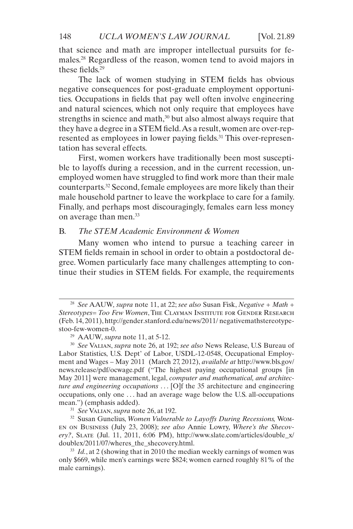that science and math are improper intellectual pursuits for females.28 Regardless of the reason, women tend to avoid majors in these fields.29

The lack of women studying in STEM fields has obvious negative consequences for post-graduate employment opportunities. Occupations in fields that pay well often involve engineering and natural sciences, which not only require that employees have strengths in science and math, $30$  but also almost always require that they have a degree in a STEM field. As a result, women are over-represented as employees in lower paying fields.<sup>31</sup> This over-representation has several effects.

First, women workers have traditionally been most susceptible to layoffs during a recession, and in the current recession, unemployed women have struggled to find work more than their male counterparts.32 Second, female employees are more likely than their male household partner to leave the workplace to care for a family. Finally, and perhaps most discouragingly, females earn less money on average than men.33

# B. *The STEM Academic Environment & Women*

Many women who intend to pursue a teaching career in STEM fields remain in school in order to obtain a postdoctoral degree. Women particularly face many challenges attempting to continue their studies in STEM fields. For example, the requirements

<sup>28</sup> *See* AAUW*, supra* note 11, at 22; *see also* Susan Fisk, *Negative + Math + Stereotypes= Too Few Women*, The Clayman Institute for Gender Research (Feb. 14, 2011), [http://gender.stanford.edu/news/2011/ negativemathstereotype](http://gender.stanford.edu/news/2011/ negativemathstereotypestoo-few-women-0.)[stoo-few-women-0.](http://gender.stanford.edu/news/2011/ negativemathstereotypestoo-few-women-0.)

<sup>29</sup> AAUW*, supra* note 11, at 5-12.

<sup>30</sup> *See* Valian, *supra* note 26, at 192; *see also* News Release, U.S Bureau of Labor Statistics, U.S. Dept' of Labor, USDL-12-0548, Occupational Employment and Wages – May 2011 (March 27, 2012), *available at* [http://www.bls.gov/](http://www.bls.gov/news.release/pdf/ocwage.pdf ) [news.release/pdf/ocwage.pdf](http://www.bls.gov/news.release/pdf/ocwage.pdf ) ("The highest paying occupational groups [in May 2011] were management, legal, *computer and mathematical, and architecture and engineering occupations* . . . [O]f the 35 architecture and engineering occupations, only one . . . had an average wage below the U.S. all-occupations mean.") (emphasis added).

<sup>31</sup> *See* Valian, *supra* note 26, at 192.

<sup>32</sup> Susan Gunelius, *Women Vulnerable to Layoffs During Recessions,* Women on Business (July 23, 2008); *see also* Annie Lowry, *Where's the Shecovery?*, Slate (Jul. 11, 2011, 6:06 PM), [http://www.slate.com/articles/double\\_x/](http://www.slate.com/articles/double_x/-doublex/2011/07/wheres_the_shecovery.html.) [doublex/2011/07/wheres\\_the\\_shecovery.html.](http://www.slate.com/articles/double_x/-doublex/2011/07/wheres_the_shecovery.html.)

<sup>&</sup>lt;sup>33</sup> *Id.*, at 2 (showing that in 2010 the median weekly earnings of women was only \$669, while men's earnings were \$824; women earned roughly 81% of the male earnings).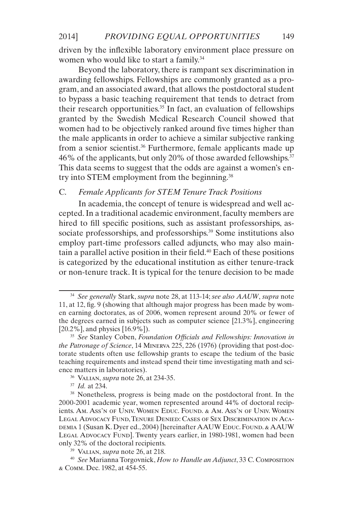driven by the inflexible laboratory environment place pressure on women who would like to start a family.<sup>34</sup>

Beyond the laboratory, there is rampant sex discrimination in awarding fellowships. Fellowships are commonly granted as a program, and an associated award, that allows the postdoctoral student to bypass a basic teaching requirement that tends to detract from their research opportunities.<sup>35</sup> In fact, an evaluation of fellowships granted by the Swedish Medical Research Council showed that women had to be objectively ranked around five times higher than the male applicants in order to achieve a similar subjective ranking from a senior scientist.<sup>36</sup> Furthermore, female applicants made up 46% of the applicants, but only 20% of those awarded fellowships.<sup>37</sup> This data seems to suggest that the odds are against a women's entry into STEM employment from the beginning.<sup>38</sup>

# C. *Female Applicants for STEM Tenure Track Positions*

In academia, the concept of tenure is widespread and well accepted. In a traditional academic environment, faculty members are hired to fill specific positions, such as assistant professorships, associate professorships, and professorships.<sup>39</sup> Some institutions also employ part-time professors called adjuncts, who may also maintain a parallel active position in their field.<sup>40</sup> Each of these positions is categorized by the educational institution as either tenure-track or non-tenure track. It is typical for the tenure decision to be made

<sup>37</sup> *Id.* at 234.

<sup>34</sup> *See generally* Stark, *supra* note 28, at 113-14; *see also AAUW*, *supra* note 11, at 12, fig. 9 (showing that although major progress has been made by women earning doctorates, as of 2006, women represent around 20% or fewer of the degrees earned in subjects such as computer science [21.3%], engineering [20.2%], and physics [16.9%]).

<sup>35</sup> *See* Stanley Coben, *Foundation Officials and Fellowships: Innovation in the Patronage of Science*, 14 Minerva 225, 226 (1976) (providing that post-doctorate students often use fellowship grants to escape the tedium of the basic teaching requirements and instead spend their time investigating math and science matters in laboratories).

<sup>36</sup> Valian, *supra* note 26, at 234-35.

<sup>&</sup>lt;sup>38</sup> Nonetheless, progress is being made on the postdoctoral front. In the 2000-2001 academic year, women represented around 44% of doctoral recipients. Am. Ass'n of Univ. Women Educ. Found. & Am. Ass'n of Univ. Women Legal Advocacy Fund, Tenure Denied: Cases of Sex Discrimination in Aca-DEMIA 1 (Susan K. Dyer ed., 2004) [hereinafter AAUW Educ. Found. & AAUW LEGAL ADVOCACY FUND]. Twenty years earlier, in 1980-1981, women had been only 32% of the doctoral recipients.

<sup>39</sup> Valian, *supra* note 26, at 218.

<sup>40</sup> *See* Marianna Torgovnick, *How to Handle an Adjunct*, 33 C. Composition & Comm. Dec. 1982, at 454-55.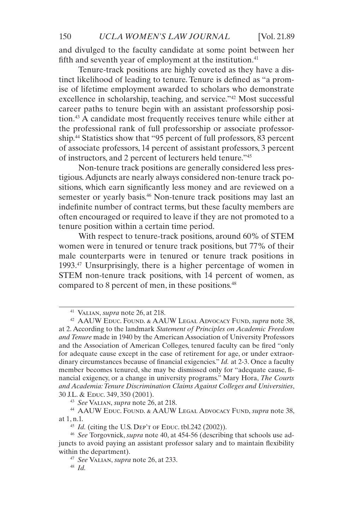and divulged to the faculty candidate at some point between her fifth and seventh year of employment at the institution. $41$ 

Tenure-track positions are highly coveted as they have a distinct likelihood of leading to tenure. Tenure is defined as "a promise of lifetime employment awarded to scholars who demonstrate excellence in scholarship, teaching, and service."<sup>42</sup> Most successful career paths to tenure begin with an assistant professorship position.43 A candidate most frequently receives tenure while either at the professional rank of full professorship or associate professorship.44 Statistics show that "95 percent of full professors, 83 percent of associate professors, 14 percent of assistant professors, 3 percent of instructors, and 2 percent of lecturers held tenure."45

Non-tenure track positions are generally considered less prestigious. Adjuncts are nearly always considered non-tenure track positions, which earn significantly less money and are reviewed on a semester or yearly basis.<sup>46</sup> Non-tenure track positions may last an indefinite number of contract terms, but these faculty members are often encouraged or required to leave if they are not promoted to a tenure position within a certain time period.

With respect to tenure-track positions, around 60% of STEM women were in tenured or tenure track positions, but 77% of their male counterparts were in tenured or tenure track positions in 1993.47 Unsurprisingly, there is a higher percentage of women in STEM non-tenure track positions, with 14 percent of women, as compared to 8 percent of men, in these positions.<sup>48</sup>

<sup>43</sup> *See* Valian, *supra* note 26, at 218.

<sup>41</sup> Valian, *supra* note 26, at 218.

<sup>42</sup> AAUW Educ. Found. & AAUW Legal Advocacy Fund, *supra* note 38, at 2. According to the landmark *Statement of Principles on Academic Freedom and Tenure* made in 1940 by the American Association of University Professors and the Association of American Colleges, tenured faculty can be fired "only for adequate cause except in the case of retirement for age, or under extraordinary circumstances because of financial exigencies." *Id.* at 2-3. Once a faculty member becomes tenured, she may be dismissed only for "adequate cause, financial exigency, or a change in university programs." Mary Hora, *The Courts and Academia: Tenure Discrimination Claims Against Colleges and Universities*, 30 J.L. & Educ. 349, 350 (2001).

<sup>44</sup> AAUW Educ. Found. & AAUW Legal Advocacy Fund, *supra* note 38, at 1, n.1.

 $45$  *Id.* (citing the U.S. DEP'T OF EDUC. tbl.242 (2002)).

<sup>46</sup> *See* Torgovnick, *supra* note 40, at 454-56 (describing that schools use adjuncts to avoid paying an assistant professor salary and to maintain flexibility within the department).

<sup>47</sup> *See* Valian, *supra* note 26, at 233.

<sup>48</sup> *Id.*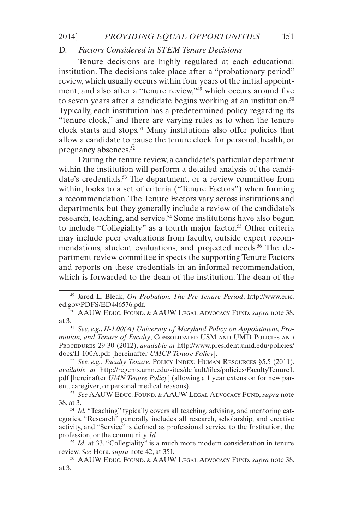# D. *Factors Considered in STEM Tenure Decisions*

Tenure decisions are highly regulated at each educational institution. The decisions take place after a "probationary period" review, which usually occurs within four years of the initial appointment, and also after a "tenure review,"49 which occurs around five to seven years after a candidate begins working at an institution. $50$ Typically, each institution has a predetermined policy regarding its "tenure clock," and there are varying rules as to when the tenure clock starts and stops.<sup>51</sup> Many institutions also offer policies that allow a candidate to pause the tenure clock for personal, health, or pregnancy absences.52

During the tenure review, a candidate's particular department within the institution will perform a detailed analysis of the candidate's credentials.53 The department, or a review committee from within, looks to a set of criteria ("Tenure Factors") when forming a recommendation. The Tenure Factors vary across institutions and departments, but they generally include a review of the candidate's research, teaching, and service.<sup>54</sup> Some institutions have also begun to include "Collegiality" as a fourth major factor.<sup>55</sup> Other criteria may include peer evaluations from faculty, outside expert recommendations, student evaluations, and projected needs.<sup>56</sup> The department review committee inspects the supporting Tenure Factors and reports on these credentials in an informal recommendation, which is forwarded to the dean of the institution. The dean of the

motion, and Tenure of Faculty, CONSOLIDATED USM AND UMD POLICIES AND Procedures 29-30 (2012), *available at* [http://www.president.umd.edu/policies/](http://www.president.umd.edu/policies/docs/II-100A.pdf) [docs/II-100A.pdf](http://www.president.umd.edu/policies/docs/II-100A.pdf) [hereinafter *UMCP Tenure Policy*].

<sup>52</sup> *See, e.g.*, *Faculty Tenure*, Policy Index: Human Resources §5.5 (2011), *available at* [http://regents.umn.edu/sites/default/files/policies/FacultyTenure1.](http://regents.umn.edu/sites/default/files/policies/FacultyTenure1.pdf) [pdf](http://regents.umn.edu/sites/default/files/policies/FacultyTenure1.pdf) [hereinafter *UMN Tenure Policy*] (allowing a 1 year extension for new parent, caregiver, or personal medical reasons).

<sup>53</sup> *See* AAUW Educ. Found. & AAUW Legal Advocacy Fund, *supra* note 38, at 3.

<sup>54</sup> *Id.* "Teaching" typically covers all teaching, advising, and mentoring categories. "Research" generally includes all research, scholarship, and creative activity, and "Service" is defined as professional service to the Institution, the profession, or the community. *Id.*

<sup>55</sup> *Id.* at 33. "Collegiality" is a much more modern consideration in tenure review. *See* Hora, *supra* note 42, at 351.

<sup>56</sup> AAUW Educ. Found. & AAUW Legal Advocacy Fund, *supra* note 38, at 3.

<sup>49</sup> Jared L. Bleak, *On Probation: The Pre-Tenure Period*, [http://www.eric.](http://www.eric.ed.gov/PDFS/ED446576.pdf.) [ed.gov/PDFS/ED446576.pdf.](http://www.eric.ed.gov/PDFS/ED446576.pdf.)

<sup>50</sup> AAUW Educ. Found. & AAUW Legal Advocacy Fund, *supra* note 38, at 3.51 *See, e.g.*, *II-1.00(A) University of Maryland Policy on Appointment, Pro-*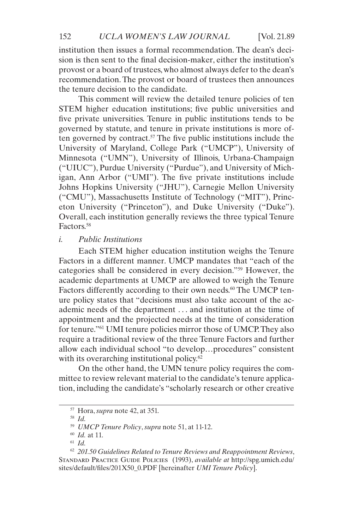institution then issues a formal recommendation. The dean's decision is then sent to the final decision-maker, either the institution's provost or a board of trustees, who almost always defer to the dean's recommendation. The provost or board of trustees then announces the tenure decision to the candidate.

This comment will review the detailed tenure policies of ten STEM higher education institutions; five public universities and five private universities. Tenure in public institutions tends to be governed by statute, and tenure in private institutions is more often governed by contract.<sup>57</sup> The five public institutions include the University of Maryland, College Park ("UMCP"), University of Minnesota ("UMN"), University of Illinois, Urbana-Champaign ("UIUC"), Purdue University ("Purdue"), and University of Michigan, Ann Arbor ("UMI"). The five private institutions include Johns Hopkins University ("JHU"), Carnegie Mellon University ("CMU"), Massachusetts Institute of Technology ("MIT"), Princeton University ("Princeton"), and Duke University ("Duke"). Overall, each institution generally reviews the three typical Tenure Factors.58

# *i. Public Institutions*

Each STEM higher education institution weighs the Tenure Factors in a different manner. UMCP mandates that "each of the categories shall be considered in every decision."59 However, the academic departments at UMCP are allowed to weigh the Tenure Factors differently according to their own needs.<sup>60</sup> The UMCP tenure policy states that "decisions must also take account of the academic needs of the department . . . and institution at the time of appointment and the projected needs at the time of consideration for tenure."61 UMI tenure policies mirror those of UMCP. They also require a traditional review of the three Tenure Factors and further allow each individual school "to develop…procedures" consistent with its overarching institutional policy.<sup>62</sup>

On the other hand, the UMN tenure policy requires the committee to review relevant material to the candidate's tenure application, including the candidate's "scholarly research or other creative

<sup>57</sup> Hora, *supra* note 42, at 351.

<sup>58</sup> *Id.*

<sup>59</sup> *UMCP Tenure Policy*, *supra* note 51, at 11-12.

<sup>60</sup> *Id.* at 11.

<sup>61</sup> *Id.*

<sup>62</sup> *201.50 Guidelines Related to Tenure Reviews and Reappointment Reviews*, STANDARD PRACTICE GUIDE POLICIES (1993), *available at* [http://spg.umich.edu/](http://spg.umich.edu/sites/default/files/201X50_0.PDF) [sites/default/files/201X50\\_0.PDF](http://spg.umich.edu/sites/default/files/201X50_0.PDF) [hereinafter *UMI Tenure Policy*].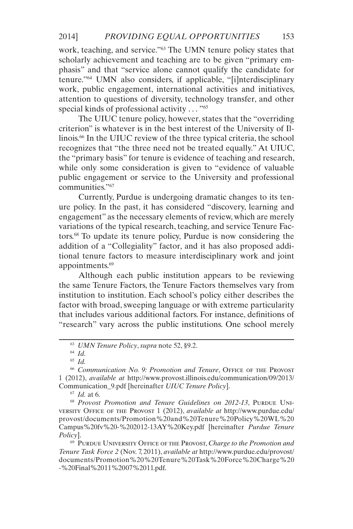work, teaching, and service."63 The UMN tenure policy states that scholarly achievement and teaching are to be given "primary emphasis" and that "service alone cannot qualify the candidate for tenure."64 UMN also considers, if applicable, "[i]nterdisciplinary work, public engagement, international activities and initiatives, attention to questions of diversity, technology transfer, and other special kinds of professional activity . . . "<sup>65</sup>

The UIUC tenure policy, however, states that the "overriding criterion" is whatever is in the best interest of the University of Illinois.66 In the UIUC review of the three typical criteria, the school recognizes that "the three need not be treated equally." At UIUC, the "primary basis" for tenure is evidence of teaching and research, while only some consideration is given to "evidence of valuable public engagement or service to the University and professional communities<sup>"67</sup>

Currently, Purdue is undergoing dramatic changes to its tenure policy. In the past, it has considered "discovery, learning and engagement" as the necessary elements of review, which are merely variations of the typical research, teaching, and service Tenure Factors.68 To update its tenure policy, Purdue is now considering the addition of a "Collegiality" factor, and it has also proposed additional tenure factors to measure interdisciplinary work and joint appointments.69

Although each public institution appears to be reviewing the same Tenure Factors, the Tenure Factors themselves vary from institution to institution. Each school's policy either describes the factor with broad, sweeping language or with extreme particularity that includes various additional factors. For instance, definitions of "research" vary across the public institutions. One school merely

<sup>68</sup> Provost Promotion and Tenure Guidelines on 2012-13, PURDUE UNIversity Office of the Provost 1 (2012), *available at* [http://www.purdue.edu/](http://www.purdue.edu/provost/documents/Promotion%20and%20Tenure%20Policy%20WL%20Campus%20fv%20-%202) [provost/documents/Promotion%20and%20Tenure%20Policy%20WL%20](http://www.purdue.edu/provost/documents/Promotion%20and%20Tenure%20Policy%20WL%20Campus%20fv%20-%202) [Campus%20fv%20-%202012-13AY%20Key.pdf](http://www.purdue.edu/provost/documents/Promotion%20and%20Tenure%20Policy%20WL%20Campus%20fv%20-%202) [hereinafter *Purdue Tenure Policy*].

<sup>69</sup> Purdue University Office of the Provost, *Charge to the Promotion and Tenure Task Force 2* (Nov. 7, 2011), *available at* [http://www.purdue.edu/provost/](http://www.purdue.edu/provost/documents/Promotion%20%20Tenure%20Task%20Force%20Charge%20-%20Final%20) [documents/Promotion%20%20Tenure%20Task%20Force%20Charge%20](http://www.purdue.edu/provost/documents/Promotion%20%20Tenure%20Task%20Force%20Charge%20-%20Final%20) [-%20Final%2011%2007%2011.pdf.](http://www.purdue.edu/provost/documents/Promotion%20%20Tenure%20Task%20Force%20Charge%20-%20Final%20)

<sup>63</sup> *UMN Tenure Policy*, *supra* note 52, §9.2.

<sup>64</sup> *Id.*

<sup>65</sup> *Id.*

<sup>&</sup>lt;sup>66</sup> Communication No. 9: Promotion and Tenure, OFFICE OF THE PROVOST 1 (2012), *available at* [http://www.provost.illinois.edu/communication/09/2013/](http://www.provost.illinois.edu/communication/09/2013/Communication_9.pdf) [Communication\\_9.pdf](http://www.provost.illinois.edu/communication/09/2013/Communication_9.pdf) [hereinafter *UIUC Tenure Policy*].

<sup>67</sup> *Id.* at 6.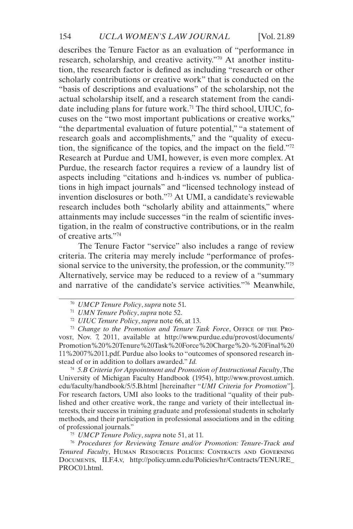describes the Tenure Factor as an evaluation of "performance in research, scholarship, and creative activity."70 At another institution, the research factor is defined as including "research or other scholarly contributions or creative work" that is conducted on the "basis of descriptions and evaluations" of the scholarship, not the actual scholarship itself, and a research statement from the candidate including plans for future work.<sup>71</sup> The third school, UIUC, focuses on the "two most important publications or creative works," "the departmental evaluation of future potential," "a statement of research goals and accomplishments," and the "quality of execution, the significance of the topics, and the impact on the field."72 Research at Purdue and UMI, however, is even more complex. At Purdue, the research factor requires a review of a laundry list of aspects including "citations and h-indices vs. number of publications in high impact journals" and "licensed technology instead of invention disclosures or both."73 At UMI, a candidate's reviewable research includes both "scholarly ability and attainments," where attainments may include successes "in the realm of scientific investigation, in the realm of constructive contributions, or in the realm of creative arts."74

The Tenure Factor "service" also includes a range of review criteria. The criteria may merely include "performance of professional service to the university, the profession, or the community."<sup>75</sup> Alternatively, service may be reduced to a review of a "summary and narrative of the candidate's service activities."76 Meanwhile,

<sup>73</sup> Change to the Promotion and Tenure Task Force, OFFICE OF THE PROvost, Nov. 7, 2011, available at [http://www.purdue.edu/provost/documents/](http://www.purdue.edu/provost/documents/Promotion%20%20Tenure%20Task%20Force%20Charge%20-%20Final%20) [Promotion%20%20Tenure%20Task%20Force%20Charge%20-%20Final%20](http://www.purdue.edu/provost/documents/Promotion%20%20Tenure%20Task%20Force%20Charge%20-%20Final%20) [11%2007%2011.pdf.](http://www.purdue.edu/provost/documents/Promotion%20%20Tenure%20Task%20Force%20Charge%20-%20Final%20) Purdue also looks to "outcomes of sponsored research instead of or in addition to dollars awarded." *Id.*

<sup>74</sup> *5.B Criteria for Appointment and Promotion of Instructional Faculty*, The University of Michigan Faculty Handbook (1954), [http://www.provost.umich.](http://www.provost.umich.edu/faculty/handbook/5/5.B.html) [edu/faculty/handbook/5/5.B.html](http://www.provost.umich.edu/faculty/handbook/5/5.B.html) [hereinafter "*UMI Criteria for Promotion*"]. For research factors, UMI also looks to the traditional "quality of their published and other creative work, the range and variety of their intellectual interests, their success in training graduate and professional students in scholarly methods, and their participation in professional associations and in the editing of professional journals."

<sup>75</sup> *UMCP Tenure Policy*, *supra* note 51, at 11.

<sup>76</sup> *Procedures for Reviewing Tenure and/or Promotion: Tenure-Track and Tenured Faculty*, Human Resources Policies: Contracts and Governing Documents, II.F.4.v, [http://policy.umn.edu/Policies/hr/Contracts/TENURE\\_](ttp://policy.umn.edu/Policies/hr/Contracts/TENURE_PROC01.html.) [PROC01.html.](ttp://policy.umn.edu/Policies/hr/Contracts/TENURE_PROC01.html.)

<sup>70</sup> *UMCP Tenure Policy*, *supra* note 51.

<sup>71</sup> *UMN Tenure Policy*, *supra* note 52.

<sup>72</sup> *UIUC Tenure Policy*, *supra* note 66, at 13.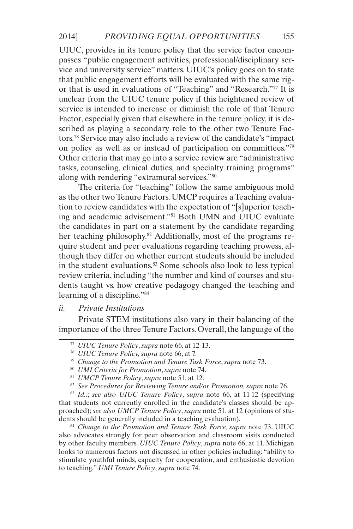UIUC, provides in its tenure policy that the service factor encompasses "public engagement activities, professional/disciplinary service and university service" matters. UIUC's policy goes on to state that public engagement efforts will be evaluated with the same rigor that is used in evaluations of "Teaching" and "Research."77 It is unclear from the UIUC tenure policy if this heightened review of service is intended to increase or diminish the role of that Tenure Factor, especially given that elsewhere in the tenure policy, it is described as playing a secondary role to the other two Tenure Factors.78 Service may also include a review of the candidate's "impact on policy as well as or instead of participation on committees."79 Other criteria that may go into a service review are "administrative tasks, counseling, clinical duties, and specialty training programs" along with rendering "extramural services."80

The criteria for "teaching" follow the same ambiguous mold as the other two Tenure Factors. UMCP requires a Teaching evaluation to review candidates with the expectation of "[s]uperior teaching and academic advisement."81 Both UMN and UIUC evaluate the candidates in part on a statement by the candidate regarding her teaching philosophy.<sup>82</sup> Additionally, most of the programs require student and peer evaluations regarding teaching prowess, although they differ on whether current students should be included in the student evaluations.<sup>83</sup> Some schools also look to less typical review criteria, including "the number and kind of courses and students taught vs. how creative pedagogy changed the teaching and learning of a discipline."<sup>84</sup>

### *ii. Private Institutions*

Private STEM institutions also vary in their balancing of the importance of the three Tenure Factors. Overall, the language of the

<sup>83</sup> *Id..*; *see also UIUC Tenure Policy*, *supra* note 66, at 11-12 (specifying that students not currently enrolled in the candidate's classes should be approached); *see also UMCP Tenure Policy*, *supra* note 51, at 12 (opinions of students should be generally included in a teaching evaluation).

<sup>84</sup> *Change to the Promotion and Tenure Task Force, supra* note 73. UIUC also advocates strongly for peer observation and classroom visits conducted by other faculty members. *UIUC Tenure Policy*, *supra* note 66, at 11. Michigan looks to numerous factors not discussed in other policies including: "ability to stimulate youthful minds, capacity for cooperation, and enthusiastic devotion to teaching." *UMI Tenure Policy*, *supra* note 74.

<sup>77</sup> *UIUC Tenure Policy*, *supra* note 66, at 12-13.

<sup>78</sup> *UIUC Tenure Policy, supra* note 66, at 7.

<sup>79</sup> *Change to the Promotion and Tenure Task Force*, *supra* note 73.

<sup>80</sup> *UMI Criteria for Promotion*, *supra* note 74.

<sup>81</sup> *UMCP Tenure Policy*, *supra* note 51, at 12.

<sup>82</sup> *See Procedures for Reviewing Tenure and/or Promotion, supra* note 76.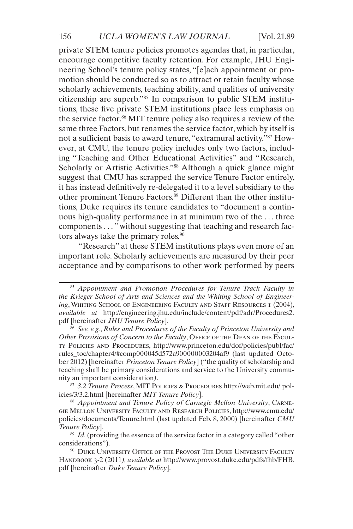private STEM tenure policies promotes agendas that, in particular, encourage competitive faculty retention. For example, JHU Engineering School's tenure policy states, "[e]ach appointment or promotion should be conducted so as to attract or retain faculty whose scholarly achievements, teaching ability, and qualities of university citizenship are superb."85 In comparison to public STEM institutions, these five private STEM institutions place less emphasis on the service factor.86 MIT tenure policy also requires a review of the same three Factors, but renames the service factor, which by itself is not a sufficient basis to award tenure, "extramural activity."87 However, at CMU, the tenure policy includes only two factors, including "Teaching and Other Educational Activities" and "Research, Scholarly or Artistic Activities."<sup>88</sup> Although a quick glance might suggest that CMU has scrapped the service Tenure Factor entirely, it has instead definitively re-delegated it to a level subsidiary to the other prominent Tenure Factors.<sup>89</sup> Different than the other institutions, Duke requires its tenure candidates to "document a continuous high-quality performance in at minimum two of the . . . three components . . . " without suggesting that teaching and research factors always take the primary roles.<sup>90</sup>

"Research" at these STEM institutions plays even more of an important role. Scholarly achievements are measured by their peer acceptance and by comparisons to other work performed by peers

<sup>87</sup> *3.2 Tenure Process*, MIT Policies & Procedures [http://web.mit.edu/ pol](http://web.mit.edu/ policies/3/3.2.html)[icies/3/3.2.html](http://web.mit.edu/ policies/3/3.2.html) [hereinafter *MIT Tenure Policy*].

<sup>88</sup> *Appointment and Tenure Policy of Carnegie Mellon University*, Carnegie Mellon University Faculty and Research Policies, [http://www.cmu.edu/](http://www.cmu.edu/policies/documents/Tenure.html) [policies/documents/Tenure.html](http://www.cmu.edu/policies/documents/Tenure.html) (last updated Feb. 8, 2000) [hereinafter *CMU Tenure Policy*].

<sup>89</sup> *Id.* (providing the essence of the service factor in a category called "other considerations").

<sup>85</sup> *Appointment and Promotion Procedures for Tenure Track Faculty in the Krieger School of Arts and Sciences and the Whiting School of Engineering*, Whiting School of Engineering Faculty and Staff Resources 1 (2004), *available at* [http://engineering.jhu.edu/include/content/pdf/adr/Procedures2.](http://engineering.jhu.edu/include/content/pdf/adr/Procedures2.pdf) [pdf](http://engineering.jhu.edu/include/content/pdf/adr/Procedures2.pdf) [hereinafter *JHU Tenure Policy*].

<sup>86</sup> *See, e.g.*, *Rules and Procedures of the Faculty of Princeton University and Other Provisions of Concern to the Faculty*, OFFICE OF THE DEAN OF THE FACULty Policies and Procedures, [http://www.princeton.edu/dof/policies/publ/fac/](http://www.princeton.edu/dof/policies/publ/fac/rules_toc/chapter4/#comp000045d572a900000003204af9) [rules\\_toc/chapter4/#comp000045d572a900000003204af9](http://www.princeton.edu/dof/policies/publ/fac/rules_toc/chapter4/#comp000045d572a900000003204af9) (last updated October 2012) [hereinafter *Princeton Tenure Policy*] ("the quality of scholarship and teaching shall be primary considerations and service to the University community an important consideration*)*.

<sup>&</sup>lt;sup>90</sup> DUKE UNIVERSITY OFFICE OF THE PROVOST THE DUKE UNIVERSITY FACULTY Handbook 3-2 (2011*), available at* [http://www.provost.duke.edu/pdfs/fhb/FHB.](ttp://www.provost.duke.edu/pdfs/fhb/FHB.pdf ) [pdf](ttp://www.provost.duke.edu/pdfs/fhb/FHB.pdf ) [hereinafter *Duke Tenure Policy*].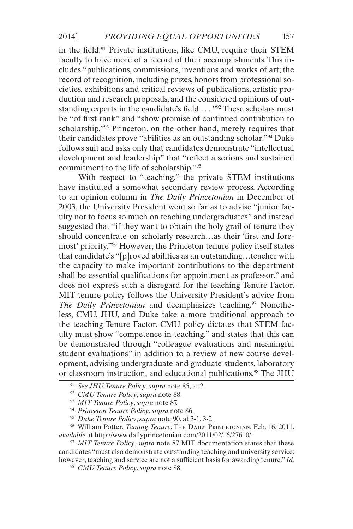in the field.91 Private institutions, like CMU, require their STEM faculty to have more of a record of their accomplishments. This includes "publications, commissions, inventions and works of art; the record of recognition, including prizes, honors from professional societies, exhibitions and critical reviews of publications, artistic production and research proposals, and the considered opinions of outstanding experts in the candidate's field . . . "<sup>92</sup> These scholars must be "of first rank" and "show promise of continued contribution to scholarship."<sup>93</sup> Princeton, on the other hand, merely requires that their candidates prove "abilities as an outstanding scholar."94 Duke follows suit and asks only that candidates demonstrate "intellectual development and leadership" that "reflect a serious and sustained commitment to the life of scholarship."95

With respect to "teaching," the private STEM institutions have instituted a somewhat secondary review process. According to an opinion column in *The Daily Princetonian* in December of 2003, the University President went so far as to advise "junior faculty not to focus so much on teaching undergraduates" and instead suggested that "if they want to obtain the holy grail of tenure they should concentrate on scholarly research…as their 'first and foremost' priority."96 However, the Princeton tenure policy itself states that candidate's "[p]roved abilities as an outstanding…teacher with the capacity to make important contributions to the department shall be essential qualifications for appointment as professor," and does not express such a disregard for the teaching Tenure Factor. MIT tenure policy follows the University President's advice from *The Daily Princetonian* and deemphasizes teaching.<sup>97</sup> Nonetheless, CMU, JHU, and Duke take a more traditional approach to the teaching Tenure Factor. CMU policy dictates that STEM faculty must show "competence in teaching," and states that this can be demonstrated through "colleague evaluations and meaningful student evaluations" in addition to a review of new course development, advising undergraduate and graduate students, laboratory or classroom instruction, and educational publications.98 The JHU

<sup>96</sup> William Potter, *Taming Tenure*, The DAILY PRINCETONIAN, Feb. 16, 2011, *available* at <http://www.dailyprincetonian.com/2011/02/16/27610/>.

<sup>97</sup> *MIT Tenure Policy*, *supra* note 87. MIT documentation states that these candidates "must also demonstrate outstanding teaching and university service; however, teaching and service are not a sufficient basis for awarding tenure." *Id.*

<sup>98</sup> *CMU Tenure Policy*, *supra* note 88.

<sup>91</sup> *See JHU Tenure Policy*, *supra* note 85, at 2.

<sup>92</sup> *CMU Tenure Policy*, *supra* note 88.

<sup>93</sup> *MIT Tenure Policy*, *supra* note 87.

<sup>94</sup> *Princeton Tenure Policy*, *supra* note 86.

<sup>95</sup> *Duke Tenure Policy*, *supra* note 90, at 3-1, 3-2.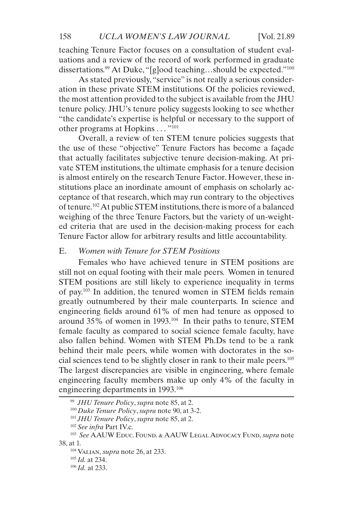teaching Tenure Factor focuses on a consultation of student evaluations and a review of the record of work performed in graduate dissertations.<sup>99</sup> At Duke, "[g]ood teaching...should be expected."<sup>100</sup>

As stated previously, "service" is not really a serious consideration in these private STEM institutions. Of the policies reviewed, the most attention provided to the subject is available from the JHU tenure policy. JHU's tenure policy suggests looking to see whether "the candidate's expertise is helpful or necessary to the support of other programs at Hopkins  $\dots$ <sup>"101</sup>"

Overall, a review of ten STEM tenure policies suggests that the use of these "objective" Tenure Factors has become a façade that actually facilitates subjective tenure decision-making. At private STEM institutions, the ultimate emphasis for a tenure decision is almost entirely on the research Tenure Factor. However, these institutions place an inordinate amount of emphasis on scholarly acceptance of that research, which may run contrary to the objectives of tenure.102 At public STEM institutions, there is more of a balanced weighing of the three Tenure Factors, but the variety of un-weighted criteria that are used in the decision-making process for each Tenure Factor allow for arbitrary results and little accountability.

### E. *Women with Tenure for STEM Positions*

Females who have achieved tenure in STEM positions are still not on equal footing with their male peers. Women in tenured STEM positions are still likely to experience inequality in terms of pay.103 In addition, the tenured women in STEM fields remain greatly outnumbered by their male counterparts. In science and engineering fields around 61% of men had tenure as opposed to around 35% of women in 1993.104 In their paths to tenure, STEM female faculty as compared to social science female faculty, have also fallen behind. Women with STEM Ph.Ds tend to be a rank behind their male peers, while women with doctorates in the social sciences tend to be slightly closer in rank to their male peers.105 The largest discrepancies are visible in engineering, where female engineering faculty members make up only 4% of the faculty in engineering departments in 1993.<sup>106</sup>

<sup>99</sup> *JHU Tenure Policy*, *supra* note 85, at 2.

<sup>100</sup> *Duke Tenure Policy*, *supra* note 90, at 3-2.

<sup>101</sup> *JHU Tenure Policy*, *supra* note 85, at 2.

<sup>102</sup> *See infra* Part IV.c.

<sup>103</sup> *See* AAUW Educ. Found. & AAUW Legal Advocacy Fund, *supra* note 38, at 1.

<sup>104</sup> Valian, *supra* note 26, at 233.

<sup>105</sup> *Id.* at 234.

<sup>106</sup> *Id.* at 233.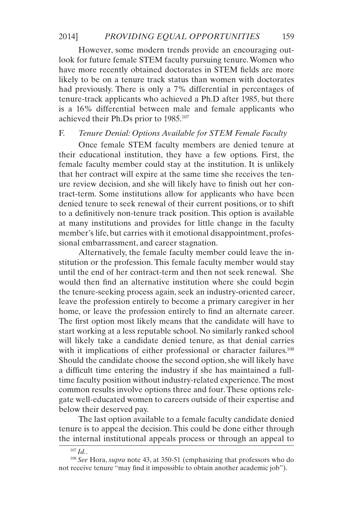However, some modern trends provide an encouraging outlook for future female STEM faculty pursuing tenure. Women who have more recently obtained doctorates in STEM fields are more likely to be on a tenure track status than women with doctorates had previously. There is only a 7% differential in percentages of tenure-track applicants who achieved a Ph.D after 1985, but there is a 16% differential between male and female applicants who achieved their Ph.Ds prior to 1985.107

# F. *Tenure Denial: Options Available for STEM Female Faculty*

Once female STEM faculty members are denied tenure at their educational institution, they have a few options. First, the female faculty member could stay at the institution. It is unlikely that her contract will expire at the same time she receives the tenure review decision, and she will likely have to finish out her contract-term. Some institutions allow for applicants who have been denied tenure to seek renewal of their current positions, or to shift to a definitively non-tenure track position. This option is available at many institutions and provides for little change in the faculty member's life, but carries with it emotional disappointment, professional embarrassment, and career stagnation.

Alternatively, the female faculty member could leave the institution or the profession. This female faculty member would stay until the end of her contract-term and then not seek renewal. She would then find an alternative institution where she could begin the tenure-seeking process again, seek an industry-oriented career, leave the profession entirely to become a primary caregiver in her home, or leave the profession entirely to find an alternate career. The first option most likely means that the candidate will have to start working at a less reputable school. No similarly ranked school will likely take a candidate denied tenure, as that denial carries with it implications of either professional or character failures.<sup>108</sup> Should the candidate choose the second option, she will likely have a difficult time entering the industry if she has maintained a fulltime faculty position without industry-related experience. The most common results involve options three and four. These options relegate well-educated women to careers outside of their expertise and below their deserved pay.

The last option available to a female faculty candidate denied tenure is to appeal the decision. This could be done either through the internal institutional appeals process or through an appeal to

<sup>107</sup> *Id.*.

<sup>108</sup> *See* Hora, *supra* note 43, at 350-51 (emphasizing that professors who do not receive tenure "may find it impossible to obtain another academic job").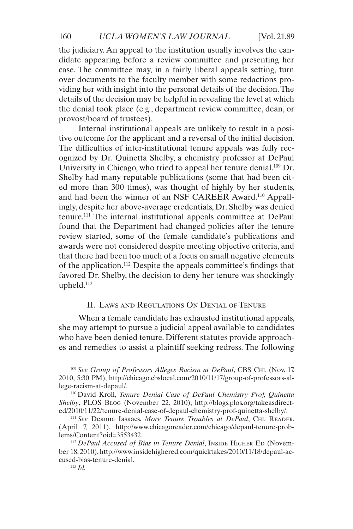the judiciary. An appeal to the institution usually involves the candidate appearing before a review committee and presenting her case. The committee may, in a fairly liberal appeals setting, turn over documents to the faculty member with some redactions providing her with insight into the personal details of the decision. The details of the decision may be helpful in revealing the level at which the denial took place (e.g., department review committee, dean, or provost/board of trustees).

Internal institutional appeals are unlikely to result in a positive outcome for the applicant and a reversal of the initial decision. The difficulties of inter-institutional tenure appeals was fully recognized by Dr. Quinetta Shelby, a chemistry professor at DePaul University in Chicago, who tried to appeal her tenure denial.<sup>109</sup> Dr. Shelby had many reputable publications (some that had been cited more than 300 times), was thought of highly by her students, and had been the winner of an NSF CAREER Award.110 Appallingly, despite her above-average credentials, Dr. Shelby was denied tenure.111 The internal institutional appeals committee at DePaul found that the Department had changed policies after the tenure review started, some of the female candidate's publications and awards were not considered despite meeting objective criteria, and that there had been too much of a focus on small negative elements of the application.112 Despite the appeals committee's findings that favored Dr. Shelby, the decision to deny her tenure was shockingly upheld.113

# II. Laws and Regulations On Denial of Tenure

When a female candidate has exhausted institutional appeals, she may attempt to pursue a judicial appeal available to candidates who have been denied tenure. Different statutes provide approaches and remedies to assist a plaintiff seeking redress. The following

<sup>109</sup> *See Group of Professors Alleges Racism at DePaul*, CBS Chi. (Nov. 17, 2010, 5:30 PM), [http://chicago.cbslocal.com/2010/11/17/group-of-professors-al](http://chicago.cbslocal.com/2010/11/17/group-of-professors-allege-racism-at-depaul/)[lege-racism-at-depaul/](http://chicago.cbslocal.com/2010/11/17/group-of-professors-allege-racism-at-depaul/).

<sup>110</sup> David Kroll, *Tenure Denial Case of DePaul Chemistry Prof, Quinetta Shelby*, PLOS Blog (November 22, 2010), [http://blogs.plos.org/takeasdirect](http://blogs.plos.org/takeasdirected/2010/11/22/tenure-denial-case-of-depaul-chemistry-prof-quinetta)[ed/2010/11/22/tenure-denial-case-of-depaul-chemistry-prof-quinetta-shelby/.](http://blogs.plos.org/takeasdirected/2010/11/22/tenure-denial-case-of-depaul-chemistry-prof-quinetta)

<sup>111</sup> *See* Deanna Iasaacs, *More Tenure Troubles at DePaul*, Chi. Reader, (April 7, 2011), [http://www.chicagoreader.com/chicago/depaul-tenure-prob](http://www.chicagoreader.com/chicago/depaul-tenure-problems/Content?oid=3553432)[lems/Content?oid=3553432.](http://www.chicagoreader.com/chicago/depaul-tenure-problems/Content?oid=3553432)

<sup>&</sup>lt;sup>112</sup> *DePaul Accused of Bias in Tenure Denial*, INSIDE HIGHER ED (November 18, 2010), [http://www.insidehighered.com/quicktakes/2010/11/18/depaul-ac](http://www.insidehighered.com/quicktakes/2010/11/18/depaul-accused-bias-tenure-denial.)[cused-bias-tenure-denial.](http://www.insidehighered.com/quicktakes/2010/11/18/depaul-accused-bias-tenure-denial.)

<sup>113</sup> *Id.*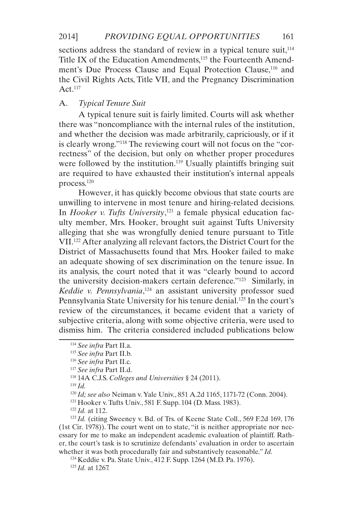sections address the standard of review in a typical tenure suit, $114$ Title IX of the Education Amendments,<sup>115</sup> the Fourteenth Amendment's Due Process Clause and Equal Protection Clause,<sup>116</sup> and the Civil Rights Acts, Title VII, and the Pregnancy Discrimination Act.117

### A. *Typical Tenure Suit*

A typical tenure suit is fairly limited. Courts will ask whether there was "noncompliance with the internal rules of the institution, and whether the decision was made arbitrarily, capriciously, or if it is clearly wrong."118 The reviewing court will not focus on the "correctness" of the decision, but only on whether proper procedures were followed by the institution.<sup>119</sup> Usually plaintiffs bringing suit are required to have exhausted their institution's internal appeals process.120

However, it has quickly become obvious that state courts are unwilling to intervene in most tenure and hiring-related decisions. In *Hooker v. Tufts University*, 121 a female physical education faculty member, Mrs. Hooker, brought suit against Tufts University alleging that she was wrongfully denied tenure pursuant to Title VII.122 After analyzing all relevant factors, the District Court for the District of Massachusetts found that Mrs. Hooker failed to make an adequate showing of sex discrimination on the tenure issue. In its analysis, the court noted that it was "clearly bound to accord the university decision-makers certain deference."123 Similarly, in Keddie v. Pennsylvania,<sup>124</sup> an assistant university professor sued Pennsylvania State University for his tenure denial.<sup>125</sup> In the court's review of the circumstances, it became evident that a variety of subjective criteria, along with some objective criteria, were used to dismiss him. The criteria considered included publications below

<sup>119</sup> *Id.*

<sup>121</sup> Hooker v. Tufts Univ., 581 F. Supp. 104 (D. Mass. 1983).

<sup>123</sup> *Id.* (citing Sweeney v. Bd. of Trs. of Keene State Coll., 569 F.2d 169, 176 (1st Cir. 1978)). The court went on to state, "it is neither appropriate nor necessary for me to make an independent academic evaluation of plaintiff. Rather, the court's task is to scrutinize defendants' evaluation in order to ascertain whether it was both procedurally fair and substantively reasonable." *Id.*

<sup>114</sup> *See infra* Part II.a.

<sup>115</sup> *See infra* Part II.b.

<sup>116</sup> *See infra* Part II.c.

<sup>117</sup> *See infra* Part II.d.

<sup>118</sup> 14A C.J.S. *Colleges and Universities* § 24 (2011).

<sup>120</sup> *Id; see also* Neiman v. Yale Univ., 851 A.2d 1165, 1171-72 (Conn. 2004).

<sup>122</sup> *Id.* at 112.

<sup>124</sup> Keddie v. Pa. State Univ., 412 F. Supp. 1264 (M.D. Pa. 1976).

<sup>125</sup> *Id.* at 1267.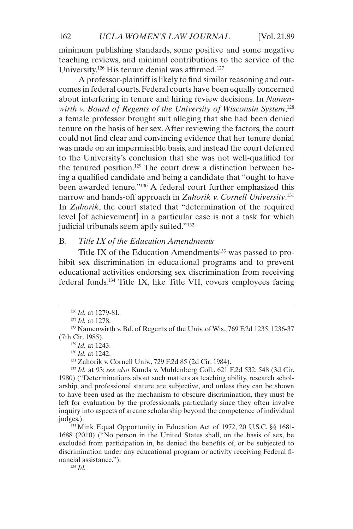minimum publishing standards, some positive and some negative teaching reviews, and minimal contributions to the service of the University.126 His tenure denial was affirmed.127

A professor-plaintiff is likely to find similar reasoning and outcomes in federal courts. Federal courts have been equally concerned about interfering in tenure and hiring review decisions. In *Namenwirth v. Board of Regents of the University of Wisconsin System*, 128 a female professor brought suit alleging that she had been denied tenure on the basis of her sex. After reviewing the factors, the court could not find clear and convincing evidence that her tenure denial was made on an impermissible basis, and instead the court deferred to the University's conclusion that she was not well-qualified for the tenured position.129 The court drew a distinction between being a qualified candidate and being a candidate that "ought to have been awarded tenure."130 A federal court further emphasized this narrow and hands-off approach in *Zahorik v. Cornell University*. 131 In *Zahorik*, the court stated that "determination of the required level [of achievement] in a particular case is not a task for which judicial tribunals seem aptly suited."<sup>132</sup>

# B. *Title IX of the Education Amendments*

Title IX of the Education Amendments $133$  was passed to prohibit sex discrimination in educational programs and to prevent educational activities endorsing sex discrimination from receiving federal funds.134 Title IX, like Title VII, covers employees facing

<sup>129</sup> *Id.* at 1243.

<sup>131</sup> Zahorik v. Cornell Univ., 729 F.2d 85 (2d Cir. 1984).

<sup>134</sup> *Id.*

<sup>126</sup> *Id.* at 1279-81.

<sup>127</sup> *Id.* at 1278.

<sup>128</sup> Namenwirth v. Bd. of Regents of the Univ. of Wis., 769 F.2d 1235, 1236-37 (7th Cir. 1985).

<sup>130</sup> *Id.* at 1242.

<sup>132</sup> *Id.* at 93; *see also* Kunda v. Muhlenberg Coll., 621 F.2d 532, 548 (3d Cir. 1980) ("Determinations about such matters as teaching ability, research scholarship, and professional stature are subjective, and unless they can be shown to have been used as the mechanism to obscure discrimination, they must be left for evaluation by the professionals, particularly since they often involve inquiry into aspects of arcane scholarship beyond the competence of individual judges.).

<sup>133</sup> Mink Equal Opportunity in Education Act of 1972, 20 U.S.C. §§ 1681- 1688 (2010) ("No person in the United States shall, on the basis of sex, be excluded from participation in, be denied the benefits of, or be subjected to discrimination under any educational program or activity receiving Federal financial assistance.").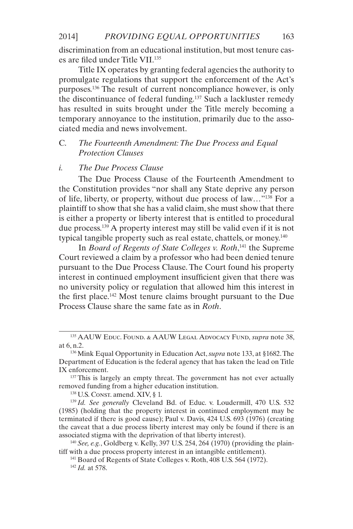discrimination from an educational institution, but most tenure cases are filed under Title VII.135

Title IX operates by granting federal agencies the authority to promulgate regulations that support the enforcement of the Act's purposes.136 The result of current noncompliance however, is only the discontinuance of federal funding.137 Such a lackluster remedy has resulted in suits brought under the Title merely becoming a temporary annoyance to the institution, primarily due to the associated media and news involvement.

# C. *The Fourteenth Amendment: The Due Process and Equal Protection Clauses*

### *i. The Due Process Clause*

The Due Process Clause of the Fourteenth Amendment to the Constitution provides "nor shall any State deprive any person of life, liberty, or property, without due process of law…"138 For a plaintiff to show that she has a valid claim, she must show that there is either a property or liberty interest that is entitled to procedural due process.139 A property interest may still be valid even if it is not typical tangible property such as real estate, chattels, or money.140

In *Board of Regents of State Colleges v. Roth*, 141 the Supreme Court reviewed a claim by a professor who had been denied tenure pursuant to the Due Process Clause. The Court found his property interest in continued employment insufficient given that there was no university policy or regulation that allowed him this interest in the first place.142 Most tenure claims brought pursuant to the Due Process Clause share the same fate as in *Roth*.

<sup>138</sup> U.S. Const. amend. XIV, § 1.

<sup>139</sup> *Id. See generally* Cleveland Bd. of Educ. v. Loudermill, 470 U.S. 532 (1985) (holding that the property interest in continued employment may be terminated if there is good cause); Paul v. Davis, 424 U.S. 693 (1976) (creating the caveat that a due process liberty interest may only be found if there is an associated stigma with the deprivation of that liberty interest).

<sup>140</sup> *See, e.g.*, Goldberg v. Kelly, 397 U.S. 254, 264 (1970) (providing the plaintiff with a due process property interest in an intangible entitlement).

<sup>135</sup> AAUW Educ. Found. & AAUW Legal Advocacy Fund, *supra* note 38, at 6, n.2.

<sup>136</sup> Mink Equal Opportunity in Education Act, *supra* note 133, at §1682. The Department of Education is the federal agency that has taken the lead on Title IX enforcement.

<sup>&</sup>lt;sup>137</sup> This is largely an empty threat. The government has not ever actually removed funding from a higher education institution.

<sup>141</sup> Board of Regents of State Colleges v. Roth, 408 U.S. 564 (1972). <sup>142</sup> *Id.* at 578.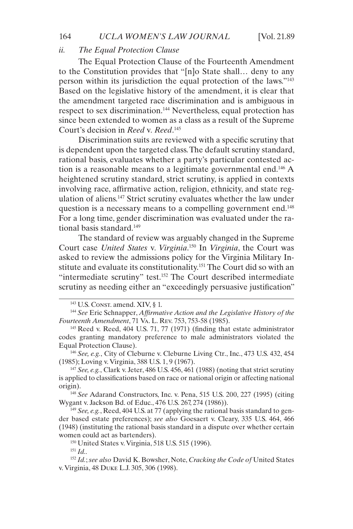### *ii. The Equal Protection Clause*

The Equal Protection Clause of the Fourteenth Amendment to the Constitution provides that "[n]o State shall… deny to any person within its jurisdiction the equal protection of the laws."143 Based on the legislative history of the amendment, it is clear that the amendment targeted race discrimination and is ambiguous in respect to sex discrimination.<sup>144</sup> Nevertheless, equal protection has since been extended to women as a class as a result of the Supreme Court's decision in *Reed* v*. Reed*. 145

Discrimination suits are reviewed with a specific scrutiny that is dependent upon the targeted class. The default scrutiny standard, rational basis, evaluates whether a party's particular contested action is a reasonable means to a legitimate governmental end.146 A heightened scrutiny standard, strict scrutiny, is applied in contexts involving race, affirmative action, religion, ethnicity, and state regulation of aliens.147 Strict scrutiny evaluates whether the law under question is a necessary means to a compelling government end.<sup>148</sup> For a long time, gender discrimination was evaluated under the rational basis standard.149

The standard of review was arguably changed in the Supreme Court case *United States* v*. Virginia*. 150 In *Virginia*, the Court was asked to review the admissions policy for the Virginia Military Institute and evaluate its constitutionality.<sup>151</sup> The Court did so with an "intermediate scrutiny" test.152 The Court described intermediate scrutiny as needing either an "exceedingly persuasive justification"

<sup>146</sup> *See, e.g.*, City of Cleburne v. Cleburne Living Ctr., Inc., 473 U.S. 432, 454 (1985); Loving v. Virginia, 388 U.S. 1, 9 (1967).

<sup>147</sup> *See, e.g.*, Clark v. Jeter, 486 U.S. 456, 461 (1988) (noting that strict scrutiny is applied to classifications based on race or national origin or affecting national origin).

<sup>148</sup> *See* Adarand Constructors, Inc. v. Pena, 515 U.S. 200, 227 (1995) (citing Wygant v. Jackson Bd. of Educ., 476 U.S. 267, 274 (1986)).

<sup>149</sup> *See, e.g.*, Reed, 404 U.S. at 77 (applying the rational basis standard to gender based estate preferences); *see also* Goesaert v. Cleary, 335 U.S. 464, 466 (1948) (instituting the rational basis standard in a dispute over whether certain women could act as bartenders).

<sup>150</sup> United States v. Virginia, 518 U.S. 515 (1996).

<sup>151</sup> *Id..*

<sup>152</sup> *Id.*; *see also* David K. Bowsher, Note, *Cracking the Code of* United States v. Virginia, 48 Duke L.J. 305, 306 (1998).

<sup>&</sup>lt;sup>143</sup> U.S. Const. amend. XIV, § 1.

<sup>144</sup> *See* Eric Schnapper, *Affirmative Action and the Legislative History of the Fourteenth Amendment*, 71 Va. L. Rev. 753, 753-58 (1985).

 $145$  Reed v. Reed, 404 U.S. 71, 77 (1971) (finding that estate administrator codes granting mandatory preference to male administrators violated the Equal Protection Clause).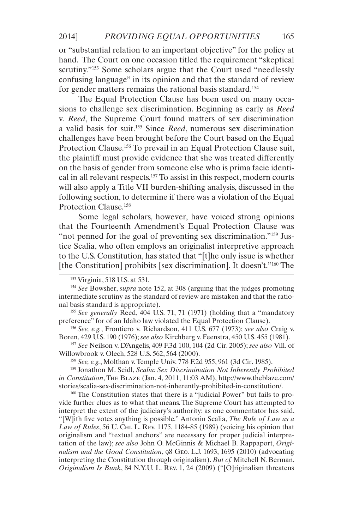or "substantial relation to an important objective" for the policy at hand. The Court on one occasion titled the requirement "skeptical scrutiny."<sup>153</sup> Some scholars argue that the Court used "needlessly confusing language" in its opinion and that the standard of review for gender matters remains the rational basis standard.154

The Equal Protection Clause has been used on many occasions to challenge sex discrimination. Beginning as early as *Reed*  v*. Reed*, the Supreme Court found matters of sex discrimination a valid basis for suit.155 Since *Reed*, numerous sex discrimination challenges have been brought before the Court based on the Equal Protection Clause.<sup>156</sup> To prevail in an Equal Protection Clause suit, the plaintiff must provide evidence that she was treated differently on the basis of gender from someone else who is prima facie identical in all relevant respects.157 To assist in this respect, modern courts will also apply a Title VII burden-shifting analysis, discussed in the following section, to determine if there was a violation of the Equal Protection Clause.158

Some legal scholars, however, have voiced strong opinions that the Fourteenth Amendment's Equal Protection Clause was "not penned for the goal of preventing sex discrimination."<sup>159</sup> Justice Scalia, who often employs an originalist interpretive approach to the U.S. Constitution, has stated that "[t]he only issue is whether [the Constitution] prohibits [sex discrimination]. It doesn't."160 The

<sup>155</sup> *See generally* Reed, 404 U.S. 71, 71 (1971) (holding that a "mandatory preference" for of an Idaho law violated the Equal Protection Clause).

<sup>156</sup> *See, e.g.*, Frontiero v. Richardson, 411 U.S. 677 (1973); *see also* Craig v. Boren, 429 U.S. 190 (1976); *see also* Kirchberg v. Feenstra, 450 U.S. 455 (1981).

<sup>157</sup> *See* Neilson v. D'Angelis, 409 F.3d 100, 104 (2d Cir. 2005); *see also* Vill. of Willowbrook v. Olech, 528 U.S. 562, 564 (2000).

<sup>158</sup> *See, e.g.*, Molthan v. Temple Univ. 778 F.2d 955, 961 (3d Cir. 1985).

<sup>159</sup> Jonathon M. Seidl, *Scalia: Sex Discrimination Not Inherently Prohibited in Constitution*, The Blaze (Jan. 4, 2011, 11:03 AM), [http://www.theblaze.com/](http://www.theblaze.com/stories/scalia-sex-discrimination-not-inherently-prohibited-in-constitution/) [stories/scalia-sex-discrimination-not-inherently-prohibited-in-constitution/.](http://www.theblaze.com/stories/scalia-sex-discrimination-not-inherently-prohibited-in-constitution/)

<sup>160</sup> The Constitution states that there is a "judicial Power" but fails to provide further clues as to what that means. The Supreme Court has attempted to interpret the extent of the judiciary's authority; as one commentator has said, "[W]ith five votes anything is possible." Antonin Scalia, *The Rule of Law as a Law of Rules*, 56 U. Chi. L. Rev. 1175, 1184-85 (1989) (voicing his opinion that originalism and "textual anchors" are necessary for proper judicial interpretation of the law); *see also* John O. McGinnis & Michael B. Rappaport, *Originalism and the Good Constitution*, 98 Geo. L.J. 1693, 1695 (2010) (advocating interpreting the Constitution through originalism). *But cf.* Mitchell N. Berman, *Originalism Is Bunk*, 84 N.Y.U. L. Rev. 1, 24 (2009) ("[O]riginalism threatens

<sup>153</sup> Virginia, 518 U.S. at 531.

<sup>154</sup> *See* Bowsher, *supra* note 152, at 308 (arguing that the judges promoting intermediate scrutiny as the standard of review are mistaken and that the rational basis standard is appropriate).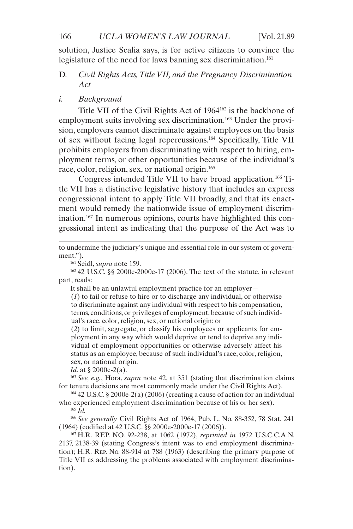#### 166 *UCLA WOMEN'S LAW JOURNAL* [Vol. 21.89]

solution, Justice Scalia says, is for active citizens to convince the legislature of the need for laws banning sex discrimination.<sup>161</sup>

# D. *Civil Rights Acts, Title VII, and the Pregnancy Discrimination Act*

### *i. Background*

Title VII of the Civil Rights Act of 1964162 is the backbone of employment suits involving sex discrimination.<sup>163</sup> Under the provision, employers cannot discriminate against employees on the basis of sex without facing legal repercussions.164 Specifically, Title VII prohibits employers from discriminating with respect to hiring, employment terms, or other opportunities because of the individual's race, color, religion, sex, or national origin.<sup>165</sup>

Congress intended Title VII to have broad application.<sup>166</sup> Title VII has a distinctive legislative history that includes an express congressional intent to apply Title VII broadly, and that its enactment would remedy the nationwide issue of employment discrimination.167 In numerous opinions, courts have highlighted this congressional intent as indicating that the purpose of the Act was to

to undermine the judiciary's unique and essential role in our system of government.").

<sup>161</sup> Seidl, *supra* note 159.

<sup>162</sup> 42 U.S.C. §§ 2000e-2000e-17 (2006). The text of the statute, in relevant part, reads:

It shall be an unlawful employment practice for an employer—

(*1*) to fail or refuse to hire or to discharge any individual, or otherwise to discriminate against any individual with respect to his compensation, terms, conditions, or privileges of employment, because of such individual's race, color, religion, sex, or national origin; or

(*2*) to limit, segregate, or classify his employees or applicants for employment in any way which would deprive or tend to deprive any individual of employment opportunities or otherwise adversely affect his status as an employee, because of such individual's race, color, religion, sex, or national origin.

*Id.* at § 2000e-2(a).

<sup>163</sup> *See, e.g.*, Hora, *supra* note 42, at 351 (stating that discrimination claims for tenure decisions are most commonly made under the Civil Rights Act).

 $164$  42 U.S.C. § 2000e-2(a) (2006) (creating a cause of action for an individual who experienced employment discrimination because of his or her sex).

<sup>165</sup> *Id.*

<sup>166</sup> *See generally* Civil Rights Act of 1964, Pub. L. No. 88-352, 78 Stat. 241 (1964) (codified at 42 U.S.C. §§ 2000e-2000e-17 (2006)).

<sup>167</sup> H.R. REP. NO. 92-238, at 1062 (1972), *reprinted in* 1972 U.S.C.C.A.N. 2137, 2138-39 (stating Congress's intent was to end employment discrimination); H.R. Rep. No. 88-914 at 788 (1963) (describing the primary purpose of Title VII as addressing the problems associated with employment discrimination).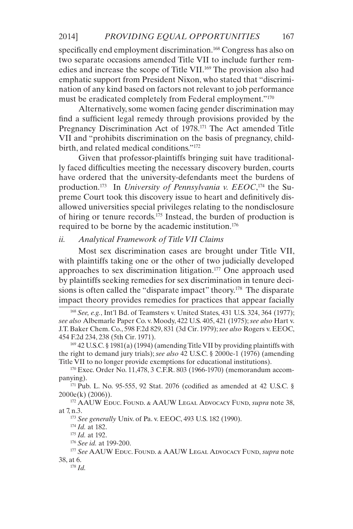specifically end employment discrimination.<sup>168</sup> Congress has also on two separate occasions amended Title VII to include further remedies and increase the scope of Title VII.169 The provision also had emphatic support from President Nixon, who stated that "discrimination of any kind based on factors not relevant to job performance must be eradicated completely from Federal employment."170

Alternatively, some women facing gender discrimination may find a sufficient legal remedy through provisions provided by the Pregnancy Discrimination Act of 1978.<sup>171</sup> The Act amended Title VII and "prohibits discrimination on the basis of pregnancy, childbirth, and related medical conditions."172

Given that professor-plaintiffs bringing suit have traditionally faced difficulties meeting the necessary discovery burden, courts have ordered that the university-defendants meet the burdens of production.173 In *University of Pennsylvania v. EEOC*, 174 the Supreme Court took this discovery issue to heart and definitively disallowed universities special privileges relating to the nondisclosure of hiring or tenure records.175 Instead, the burden of production is required to be borne by the academic institution.176

### *ii. Analytical Framework of Title VII Claims*

Most sex discrimination cases are brought under Title VII, with plaintiffs taking one or the other of two judicially developed approaches to sex discrimination litigation.177 One approach used by plaintiffs seeking remedies for sex discrimination in tenure decisions is often called the "disparate impact" theory.<sup>178</sup> The disparate impact theory provides remedies for practices that appear facially

<sup>169</sup> 42 U.S.C. § 1981(a) (1994) (amending Title VII by providing plaintiffs with the right to demand jury trials); *see also* 42 U.S.C. § 2000e-1 (1976) (amending Title VII to no longer provide exemptions for educational institutions).

<sup>170</sup> Exec. Order No. 11,478, 3 C.F.R. 803 (1966-1970) (memorandum accompanying).

<sup>171</sup> Pub. L. No. 95-555, 92 Stat. 2076 (codified as amended at 42 U.S.C. § 2000e(k) (2006)).

<sup>172</sup> AAUW Educ. Found. & AAUW Legal Advocacy Fund, *supra* note 38, at 7, n.3.

<sup>173</sup> *See generally* Univ. of Pa. v. EEOC, 493 U.S. 182 (1990).

<sup>174</sup> *Id.* at 182.

<sup>175</sup> *Id.* at 192.

<sup>176</sup> *See id.* at 199-200.

<sup>177</sup> *See* AAUW Educ. Found. & AAUW Legal Advocacy Fund, *supra* note 38, at 6.

<sup>178</sup> *Id.*

<sup>168</sup> *See, e.g.*, Int'l Bd. of Teamsters v. United States, 431 U.S. 324, 364 (1977); *see also* Albemarle Paper Co. v. Moody, 422 U.S. 405, 421 (1975); *see also* Hart v. J.T. Baker Chem. Co., 598 F.2d 829, 831 (3d Cir. 1979); *see also* Rogers v. EEOC, 454 F.2d 234, 238 (5th Cir. 1971).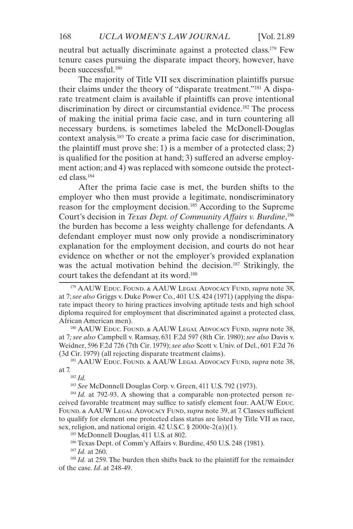neutral but actually discriminate against a protected class.179 Few tenure cases pursuing the disparate impact theory, however, have been successful.180

The majority of Title VII sex discrimination plaintiffs pursue their claims under the theory of "disparate treatment."181 A disparate treatment claim is available if plaintiffs can prove intentional discrimination by direct or circumstantial evidence.<sup>182</sup> The process of making the initial prima facie case, and in turn countering all necessary burdens, is sometimes labeled the McDonell-Douglas context analysis.183 To create a prima facie case for discrimination, the plaintiff must prove she: 1) is a member of a protected class; 2) is qualified for the position at hand; 3) suffered an adverse employment action; and 4) was replaced with someone outside the protected class.184

After the prima facie case is met, the burden shifts to the employer who then must provide a legitimate, nondiscriminatory reason for the employment decision.<sup>185</sup> According to the Supreme</sup> Court's decision in *Texas Dept. of Community Affairs v. Burdine*, 186 the burden has become a less weighty challenge for defendants. A defendant employer must now only provide a nondiscriminatory explanation for the employment decision, and courts do not hear evidence on whether or not the employer's provided explanation was the actual motivation behind the decision.<sup>187</sup> Strikingly, the court takes the defendant at its word.188

<sup>180</sup> AAUW Educ. Found. & AAUW Legal Advocacy Fund, *supra* note 38, at 7*; see also* Campbell v. Ramsay, 631 F.2d 597 (8th Cir. 1980); *see also* Davis v. Weidner, 596 F.2d 726 (7th Cir. 1979); *see also* Scott v. Univ. of Del., 601 F.2d 76 (3d Cir. 1979) (all rejecting disparate treatment claims).

<sup>181</sup> AAUW Educ. Found. & AAUW Legal Advocacy Fund, *supra* note 38, at 7.<br> $^{182}$  *Id.* 

<sup>183</sup> *See* McDonnell Douglas Corp. v. Green, 411 U.S. 792 (1973).

<sup>184</sup> *Id.* at 792-93. A showing that a comparable non-protected person received favorable treatment may suffice to satisfy element four. AAUW EDUC. FOUND. & AAUW LEGAL ADVOCACY FUND, *supra* note 39, at 7. Classes sufficient to qualify for element one protected class status are listed by Title VII as race, sex, religion, and national origin. 42 U.S.C. § 2000e-2(a))(1).

<sup>185</sup> McDonnell Douglas, 411 U.S. at 802.

186 Texas Dept. of Comm'y Affairs v. Burdine, 450 U.S. 248 (1981).

<sup>187</sup> *Id.* at 260.

<sup>188</sup> *Id.* at 259. The burden then shifts back to the plaintiff for the remainder of the case. *Id*. at 248-49.

<sup>179</sup> AAUW Educ. Found. & AAUW Legal Advocacy Fund, *supra* note 38, at 7; *see also* Griggs v. Duke Power Co., 401 U.S. 424 (1971) (applying the disparate impact theory to hiring practices involving aptitude tests and high school diploma required for employment that discriminated against a protected class, African American men).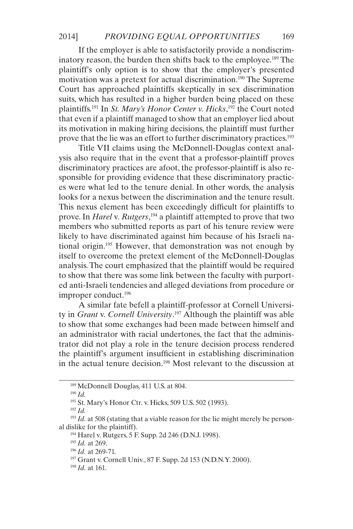If the employer is able to satisfactorily provide a nondiscriminatory reason, the burden then shifts back to the employee.<sup>189</sup> The plaintiff's only option is to show that the employer's presented motivation was a pretext for actual discrimination.<sup>190</sup> The Supreme Court has approached plaintiffs skeptically in sex discrimination suits, which has resulted in a higher burden being placed on these plaintiffs.191 In *St. Mary's Honor Center v. Hicks*, 192 the Court noted that even if a plaintiff managed to show that an employer lied about its motivation in making hiring decisions, the plaintiff must further prove that the lie was an effort to further discriminatory practices.193

Title VII claims using the McDonnell-Douglas context analysis also require that in the event that a professor-plaintiff proves discriminatory practices are afoot, the professor-plaintiff is also responsible for providing evidence that these discriminatory practices were what led to the tenure denial. In other words, the analysis looks for a nexus between the discrimination and the tenure result. This nexus element has been exceedingly difficult for plaintiffs to prove. In *Harel* v*. Rutgers*, 194 a plaintiff attempted to prove that two members who submitted reports as part of his tenure review were likely to have discriminated against him because of his Israeli national origin.195 However, that demonstration was not enough by itself to overcome the pretext element of the McDonnell-Douglas analysis. The court emphasized that the plaintiff would be required to show that there was some link between the faculty with purported anti-Israeli tendencies and alleged deviations from procedure or improper conduct.196

A similar fate befell a plaintiff-professor at Cornell University in *Grant* v. *Cornell University*. 197 Although the plaintiff was able to show that some exchanges had been made between himself and an administrator with racial undertones, the fact that the administrator did not play a role in the tenure decision process rendered the plaintiff's argument insufficient in establishing discrimination in the actual tenure decision.198 Most relevant to the discussion at

<sup>190</sup> *Id.*

<sup>192</sup> *Id.*

<sup>194</sup> Harel v. Rutgers, 5 F. Supp. 2d 246 (D.N.J. 1998).

<sup>195</sup> *Id.* at 269.

<sup>189</sup> McDonnell Douglas, 411 U.S. at 804.

<sup>191</sup> St. Mary's Honor Ctr. v. Hicks, 509 U.S. 502 (1993).

<sup>&</sup>lt;sup>193</sup> *Id.* at 508 (stating that a viable reason for the lie might merely be personal dislike for the plaintiff).

<sup>196</sup> *Id.* at 269-71.

<sup>197</sup> Grant v. Cornell Univ., 87 F. Supp. 2d 153 (N.D.N.Y. 2000).

<sup>198</sup> *Id.* at 161.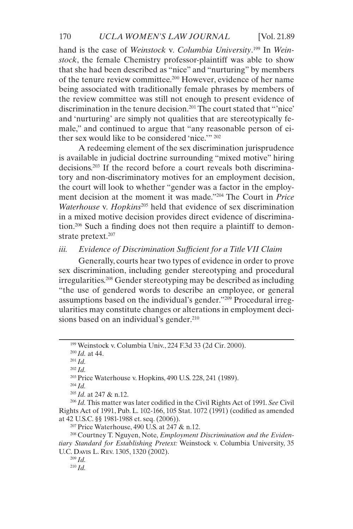hand is the case of *Weinstock* v*. Columbia University*. 199 In *Weinstock*, the female Chemistry professor-plaintiff was able to show that she had been described as "nice" and "nurturing" by members of the tenure review committee.200 However, evidence of her name being associated with traditionally female phrases by members of the review committee was still not enough to present evidence of discrimination in the tenure decision.201 The court stated that "'nice' and 'nurturing' are simply not qualities that are stereotypically female," and continued to argue that "any reasonable person of either sex would like to be considered 'nice.'" 202

A redeeming element of the sex discrimination jurisprudence is available in judicial doctrine surrounding "mixed motive" hiring decisions.203 If the record before a court reveals both discriminatory and non-discriminatory motives for an employment decision, the court will look to whether "gender was a factor in the employment decision at the moment it was made."204 The Court in *Price Waterhouse* v*. Hopkins*205 held that evidence of sex discrimination in a mixed motive decision provides direct evidence of discrimination.206 Such a finding does not then require a plaintiff to demonstrate pretext.<sup>207</sup>

# *iii. Evidence of Discrimination Sufficient for a Title VII Claim*

Generally, courts hear two types of evidence in order to prove sex discrimination, including gender stereotyping and procedural irregularities.208 Gender stereotyping may be described as including "the use of gendered words to describe an employee, or general assumptions based on the individual's gender."209 Procedural irregularities may constitute changes or alterations in employment decisions based on an individual's gender.<sup>210</sup>

<sup>203</sup> Price Waterhouse v. Hopkins, 490 U.S. 228, 241 (1989).

<sup>204</sup> *Id.*

<sup>205</sup> *Id.* at 247 & n.12.

 $207$  Price Waterhouse, 490 U.S. at 247 & n.12.

<sup>208</sup> Courtney T. Nguyen, Note, *Employment Discrimination and the Evidentiary Standard for Establishing Pretext:* Weinstock v. Columbia University, 35 U.C. Davis L. Rev. 1305, 1320 (2002).

<sup>199</sup> Weinstock v. Columbia Univ., 224 F.3d 33 (2d Cir. 2000).

<sup>200</sup> *Id.* at 44.

<sup>201</sup> *Id.*

<sup>202</sup> *Id.*

<sup>206</sup> *Id.* This matter was later codified in the Civil Rights Act of 1991. *See* Civil Rights Act of 1991, Pub. L. 102-166, 105 Stat. 1072 (1991) (codified as amended at 42 U.S.C. §§ 1981-1988 et. seq. (2006)).

<sup>209</sup> *Id.*

<sup>210</sup> *Id.*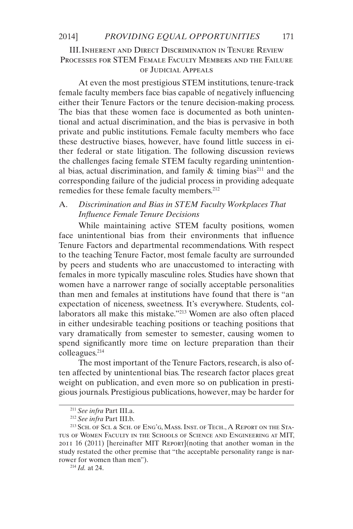# III.Inherent and Direct Discrimination in Tenure Review Processes for STEM Female Faculty Members and the Failure of Judicial Appeals

At even the most prestigious STEM institutions, tenure-track female faculty members face bias capable of negatively influencing either their Tenure Factors or the tenure decision-making process. The bias that these women face is documented as both unintentional and actual discrimination, and the bias is pervasive in both private and public institutions. Female faculty members who face these destructive biases, however, have found little success in either federal or state litigation. The following discussion reviews the challenges facing female STEM faculty regarding unintentional bias, actual discrimination, and family  $\&$  timing bias<sup>211</sup> and the corresponding failure of the judicial process in providing adequate remedies for these female faculty members.<sup>212</sup>

# A. *Discrimination and Bias in STEM Faculty Workplaces That Influence Female Tenure Decisions*

While maintaining active STEM faculty positions, women face unintentional bias from their environments that influence Tenure Factors and departmental recommendations. With respect to the teaching Tenure Factor, most female faculty are surrounded by peers and students who are unaccustomed to interacting with females in more typically masculine roles. Studies have shown that women have a narrower range of socially acceptable personalities than men and females at institutions have found that there is "an expectation of niceness, sweetness. It's everywhere. Students, collaborators all make this mistake."213 Women are also often placed in either undesirable teaching positions or teaching positions that vary dramatically from semester to semester, causing women to spend significantly more time on lecture preparation than their colleagues.214

The most important of the Tenure Factors, research, is also often affected by unintentional bias. The research factor places great weight on publication, and even more so on publication in prestigious journals. Prestigious publications, however, may be harder for

<sup>211</sup> *See infra* Part III.a.

<sup>212</sup> *See infra* Part III.b.

<sup>&</sup>lt;sup>213</sup> SCH. OF SCI. & SCH. OF ENG'G, MASS. INST. OF TECH., A REPORT ON THE STAtus of Women Faculty in the Schools of Science and Engineering at MIT, 2011 16 (2011) [hereinafter MIT Report](noting that another woman in the study restated the other premise that "the acceptable personality range is narrower for women than men").

<sup>214</sup> *Id.* at 24.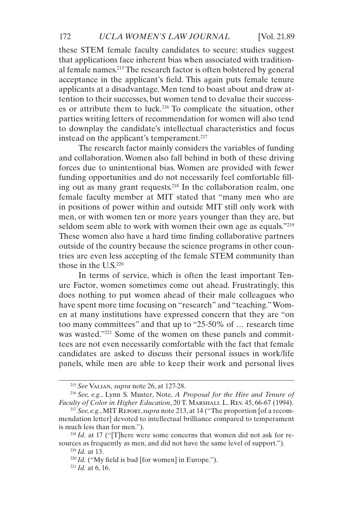these STEM female faculty candidates to secure: studies suggest that applications face inherent bias when associated with traditional female names.215 The research factor is often bolstered by general acceptance in the applicant's field. This again puts female tenure applicants at a disadvantage. Men tend to boast about and draw attention to their successes, but women tend to devalue their successes or attribute them to luck.216 To complicate the situation, other parties writing letters of recommendation for women will also tend to downplay the candidate's intellectual characteristics and focus instead on the applicant's temperament.<sup>217</sup>

The research factor mainly considers the variables of funding and collaboration. Women also fall behind in both of these driving forces due to unintentional bias. Women are provided with fewer funding opportunities and do not necessarily feel comfortable filling out as many grant requests.218 In the collaboration realm, one female faculty member at MIT stated that "many men who are in positions of power within and outside MIT still only work with men, or with women ten or more years younger than they are, but seldom seem able to work with women their own age as equals."<sup>219</sup> These women also have a hard time finding collaborative partners outside of the country because the science programs in other countries are even less accepting of the female STEM community than those in the U.S.220

In terms of service, which is often the least important Tenure Factor, women sometimes come out ahead. Frustratingly, this does nothing to put women ahead of their male colleagues who have spent more time focusing on "research" and "teaching." Women at many institutions have expressed concern that they are "on too many committees" and that up to "25-50% of … research time was wasted."<sup>221</sup> Some of the women on these panels and committees are not even necessarily comfortable with the fact that female candidates are asked to discuss their personal issues in work/life panels, while men are able to keep their work and personal lives

<sup>215</sup> *See* Valian, *supra* note 26, at 127-28.

<sup>216</sup> *See, e.g.*, Lynn S. Muster, Note, *A Proposal for the Hire and Tenure of Faculty of Color in Higher Education*, 20 T. Marshall L. Rev. 45, 66-67 (1994).

<sup>217</sup> *See, e.g.*, MIT Report, *supra* note 213, at 14 ("The proportion [of a recommendation letter] devoted to intellectual brilliance compared to temperament is much less than for men.").

<sup>&</sup>lt;sup>218</sup> *Id.* at 17 ("[T]here were some concerns that women did not ask for resources as frequently as men, and did not have the same level of support.").

<sup>219</sup> *Id.* at 13.

<sup>220</sup> *Id.* ("My field is bad [for women] in Europe.").

 $^{221}$  *Id.* at 6, 16.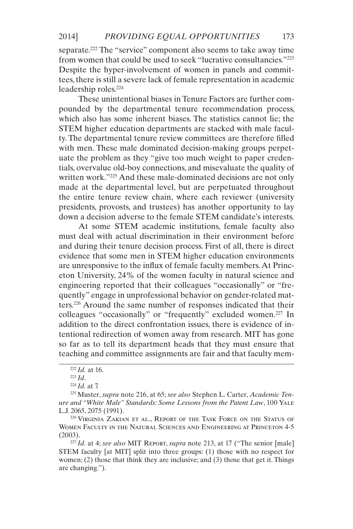separate.<sup>222</sup> The "service" component also seems to take away time from women that could be used to seek "lucrative consultancies."223 Despite the hyper-involvement of women in panels and committees, there is still a severe lack of female representation in academic leadership roles.224

These unintentional biases in Tenure Factors are further compounded by the departmental tenure recommendation process, which also has some inherent biases. The statistics cannot lie; the STEM higher education departments are stacked with male faculty. The departmental tenure review committees are therefore filled with men. These male dominated decision-making groups perpetuate the problem as they "give too much weight to paper credentials, overvalue old-boy connections, and misevaluate the quality of written work."225 And these male-dominated decisions are not only made at the departmental level, but are perpetuated throughout the entire tenure review chain, where each reviewer (university presidents, provosts, and trustees) has another opportunity to lay down a decision adverse to the female STEM candidate's interests.

At some STEM academic institutions, female faculty also must deal with actual discrimination in their environment before and during their tenure decision process. First of all, there is direct evidence that some men in STEM higher education environments are unresponsive to the influx of female faculty members. At Princeton University, 24% of the women faculty in natural science and engineering reported that their colleagues "occasionally" or "frequently" engage in unprofessional behavior on gender-related matters.226 Around the same number of responses indicated that their colleagues "occasionally" or "frequently" excluded women.<sup>227</sup> In addition to the direct confrontation issues, there is evidence of intentional redirection of women away from research. MIT has gone so far as to tell its department heads that they must ensure that teaching and committee assignments are fair and that faculty mem-

<sup>222</sup> *Id.* at 16.

<sup>223</sup> *Id*.

<sup>224</sup> *Id.* at 7.

<sup>225</sup> Muster, *supra* note 216, at 65; *see also* Stephen L. Carter, *Academic Tenure and "White Male" Standards: Some Lessons from the Patent Law*, 100 Yale L.J. 2065, 2075 (1991).

<sup>226</sup> Virginia Zakian et al., Report of the Task Force on the Status of Women Faculty in the Natural Sciences and Engineering at Princeton 4-5 (2003).

 $^{227}$ *Id.* at 4; *see also* MIT REPORT, *supra* note 213, at 17 ("The senior [male] STEM faculty [at MIT] split into three groups: (1) those with no respect for women; (2) those that think they are inclusive; and (3) those that get it. Things are changing.").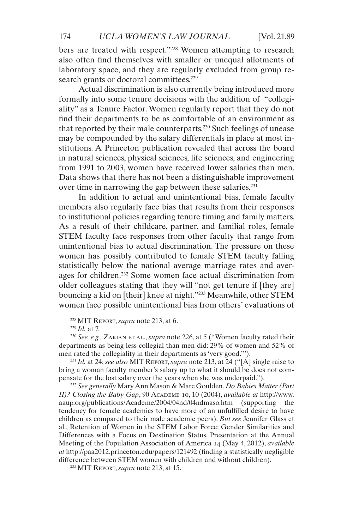bers are treated with respect."228 Women attempting to research also often find themselves with smaller or unequal allotments of laboratory space, and they are regularly excluded from group research grants or doctoral committees.<sup>229</sup>

Actual discrimination is also currently being introduced more formally into some tenure decisions with the addition of "collegiality" as a Tenure Factor. Women regularly report that they do not find their departments to be as comfortable of an environment as that reported by their male counterparts.230 Such feelings of unease may be compounded by the salary differentials in place at most institutions. A Princeton publication revealed that across the board in natural sciences, physical sciences, life sciences, and engineering from 1991 to 2003, women have received lower salaries than men. Data shows that there has not been a distinguishable improvement over time in narrowing the gap between these salaries.<sup>231</sup>

In addition to actual and unintentional bias, female faculty members also regularly face bias that results from their responses to institutional policies regarding tenure timing and family matters. As a result of their childcare, partner, and familial roles, female STEM faculty face responses from other faculty that range from unintentional bias to actual discrimination. The pressure on these women has possibly contributed to female STEM faculty falling statistically below the national average marriage rates and averages for children.232 Some women face actual discrimination from older colleagues stating that they will "not get tenure if [they are] bouncing a kid on [their] knee at night."233 Meanwhile, other STEM women face possible unintentional bias from others' evaluations of

<sup>231</sup> *Id.* at 24; *see also* MIT Report, *supra* note 213, at 24 ("[A] single raise to bring a woman faculty member's salary up to what it should be does not compensate for the lost salary over the years when she was underpaid.").

<sup>232</sup> *See generally* Mary Ann Mason & Marc Goulden, *Do Babies Matter (Part II)? Closing the Baby Gap*, 90 Academe 10, 10 (2004), *available at* [http://www.](http://www.aaup.org/publications/Academe/2004/04nd/04ndmaso.htm) [aaup.org/publications/Academe/2004/04nd/04ndmaso.htm](http://www.aaup.org/publications/Academe/2004/04nd/04ndmaso.htm) (supporting the tendency for female academics to have more of an unfulfilled desire to have children as compared to their male academic peers). *But see* Jennifer Glass et al., Retention of Women in the STEM Labor Force: Gender Similarities and Differences with a Focus on Destination Status, Presentation at the Annual Meeting of the Population Association of America 14 (May 4, 2012), *available at* <http://paa2012.princeton.edu/papers/121492> (finding a statistically negligible difference between STEM women with children and without children).

<sup>233</sup> MIT Report, *supra* note 213, at 15.

<sup>228</sup> MIT Report, *supra* note 213, at 6.

<sup>229</sup> *Id.* at 7.

<sup>230</sup> *See, e.g.,* Zakian et al., *supra* note 226, at 5 ("Women faculty rated their departments as being less collegial than men did: 29% of women and 52% of men rated the collegiality in their departments as 'very good.'").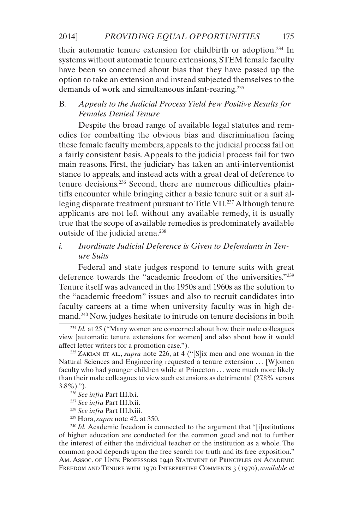their automatic tenure extension for childbirth or adoption.234 In systems without automatic tenure extensions, STEM female faculty have been so concerned about bias that they have passed up the option to take an extension and instead subjected themselves to the demands of work and simultaneous infant-rearing.235

# B. *Appeals to the Judicial Process Yield Few Positive Results for Females Denied Tenure*

Despite the broad range of available legal statutes and remedies for combatting the obvious bias and discrimination facing these female faculty members, appeals to the judicial process fail on a fairly consistent basis. Appeals to the judicial process fail for two main reasons. First, the judiciary has taken an anti-interventionist stance to appeals, and instead acts with a great deal of deference to tenure decisions.236 Second, there are numerous difficulties plaintiffs encounter while bringing either a basic tenure suit or a suit alleging disparate treatment pursuant to Title VII.<sup>237</sup> Although tenure applicants are not left without any available remedy, it is usually true that the scope of available remedies is predominately available outside of the judicial arena.<sup>238</sup>

# *i. Inordinate Judicial Deference is Given to Defendants in Tenure Suits*

Federal and state judges respond to tenure suits with great deference towards the "academic freedom of the universities."239 Tenure itself was advanced in the 1950s and 1960s as the solution to the "academic freedom" issues and also to recruit candidates into faculty careers at a time when university faculty was in high demand.240 Now, judges hesitate to intrude on tenure decisions in both

<sup>&</sup>lt;sup>234</sup> *Id.* at 25 ("Many women are concerned about how their male colleagues view [automatic tenure extensions for women] and also about how it would affect letter writers for a promotion case.").

<sup>&</sup>lt;sup>235</sup> ZAKIAN ET AL., *supra* note 226, at 4 ("[S]ix men and one woman in the Natural Sciences and Engineering requested a tenure extension ... [W]omen faculty who had younger children while at Princeton . . . were much more likely than their male colleagues to view such extensions as detrimental (27.8% versus 3.8%).").

<sup>236</sup> *See infra* Part III.b.i.

<sup>237</sup> *See infra* Part III.b.ii.

<sup>238</sup> *See infra* Part III.b.iii.

<sup>239</sup> Hora, *supra* note 42, at 350.

<sup>&</sup>lt;sup>240</sup> Id. Academic freedom is connected to the argument that "[i]nstitutions of higher education are conducted for the common good and not to further the interest of either the individual teacher or the institution as a whole. The common good depends upon the free search for truth and its free exposition." Am. Assoc. of Univ. Professors 1940 Statement of Principles on Academic Freedom and Tenure with 1970 Interpretive Comments 3 (1970), *available at*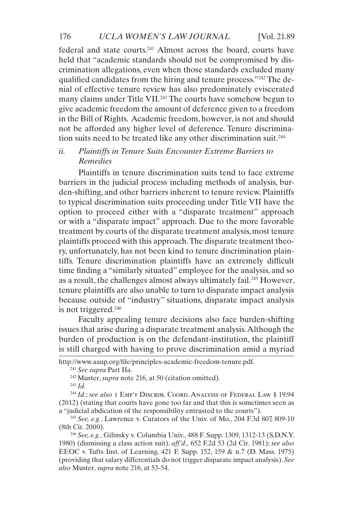federal and state courts.241 Almost across the board, courts have held that "academic standards should not be compromised by discrimination allegations, even when those standards excluded many qualified candidates from the hiring and tenure process."242 The denial of effective tenure review has also predominately eviscerated many claims under Title VII.<sup>243</sup> The courts have somehow begun to give academic freedom the amount of deference given to a freedom in the Bill of Rights. Academic freedom, however, is not and should not be afforded any higher level of deference. Tenure discrimination suits need to be treated like any other discrimination suit.<sup>244</sup>

# *ii. Plaintiffs in Tenure Suits Encounter Extreme Barriers to Remedies*

Plaintiffs in tenure discrimination suits tend to face extreme barriers in the judicial process including methods of analysis, burden-shifting, and other barriers inherent to tenure review. Plaintiffs to typical discrimination suits proceeding under Title VII have the option to proceed either with a "disparate treatment" approach or with a "disparate impact" approach. Due to the more favorable treatment by courts of the disparate treatment analysis, most tenure plaintiffs proceed with this approach. The disparate treatment theory, unfortunately, has not been kind to tenure discrimination plaintiffs. Tenure discrimination plaintiffs have an extremely difficult time finding a "similarly situated" employee for the analysis, and so as a result, the challenges almost always ultimately fail.<sup>245</sup> However, tenure plaintiffs are also unable to turn to disparate impact analysis because outside of "industry" situations, disparate impact analysis is not triggered.246

Faculty appealing tenure decisions also face burden-shifting issues that arise during a disparate treatment analysis. Although the burden of production is on the defendant-institution, the plaintiff is still charged with having to prove discrimination amid a myriad

<sup>241</sup> *See supra* Part IIa.

<sup>243</sup> *Id.*

<sup>244</sup> *Id.*; *see also* 1 Emp't Discrim. Coord. Analysis of Federal Law § 19:94 (2012) (stating that courts have gone too far and that this is sometimes seen as a "judicial abdication of the responsibility entrusted to the courts").

http://www.aaup.org/file/principles-academic-freedom-tenure.pdf.

<sup>242</sup> Muster, *supra* note 216, at 50 (citation omitted).

<sup>245</sup> *See, e.g.*, Lawrence v. Curators of the Univ. of Mo., 204 F.3d 807, 809-10 (8th Cir. 2000).

<sup>246</sup> *See, e.g.*, Gilinsky v. Columbia Univ., 488 F. Supp. 1309, 1312-13 (S.D.N.Y. 1980) (dismissing a class action suit), *aff'd.,* 652 F.2d 53 (2d Cir. 1981); *see also*  EEOC v. Tufts Inst. of Learning, 421 F. Supp. 152, 159 & n.7 (D. Mass. 1975) (providing that salary differentials do not trigger disparate impact analysis). *See also* Muster, *supra* note 216, at 53-54.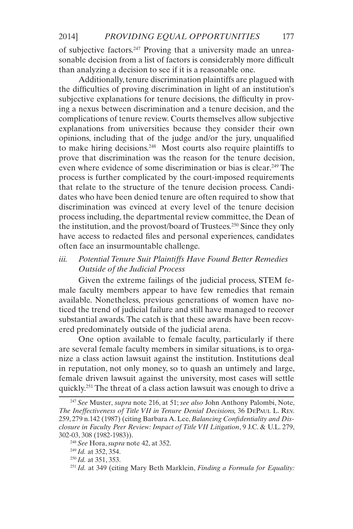of subjective factors.247 Proving that a university made an unreasonable decision from a list of factors is considerably more difficult than analyzing a decision to see if it is a reasonable one.

Additionally, tenure discrimination plaintiffs are plagued with the difficulties of proving discrimination in light of an institution's subjective explanations for tenure decisions, the difficulty in proving a nexus between discrimination and a tenure decision, and the complications of tenure review. Courts themselves allow subjective explanations from universities because they consider their own opinions, including that of the judge and/or the jury, unqualified to make hiring decisions.248 Most courts also require plaintiffs to prove that discrimination was the reason for the tenure decision, even where evidence of some discrimination or bias is clear.<sup>249</sup> The process is further complicated by the court-imposed requirements that relate to the structure of the tenure decision process. Candidates who have been denied tenure are often required to show that discrimination was evinced at every level of the tenure decision process including, the departmental review committee, the Dean of the institution, and the provost/board of Trustees.<sup>250</sup> Since they only have access to redacted files and personal experiences, candidates often face an insurmountable challenge.

*iii. Potential Tenure Suit Plaintiffs Have Found Better Remedies Outside of the Judicial Process*

Given the extreme failings of the judicial process, STEM female faculty members appear to have few remedies that remain available. Nonetheless, previous generations of women have noticed the trend of judicial failure and still have managed to recover substantial awards. The catch is that these awards have been recovered predominately outside of the judicial arena.

One option available to female faculty, particularly if there are several female faculty members in similar situations, is to organize a class action lawsuit against the institution. Institutions deal in reputation, not only money, so to quash an untimely and large, female driven lawsuit against the university, most cases will settle quickly.251 The threat of a class action lawsuit was enough to drive a

<sup>247</sup> *See* Muster, *supra* note 216, at 51; *see also* John Anthony Palombi, Note, *The Ineffectiveness of Title VII in Tenure Denial Decisions,* 36 DePaul L. Rev. 259, 279 n.142 (1987) (citing Barbara A. Lee, *Balancing Confidentiality and Disclosure in Faculty Peer Review: Impact of Title VII Litigation*, 9 J.C. & U.L. 279, 302-03, 308 (1982-1983)).

<sup>248</sup> *See* Hora, *supra* note 42, at 352.

<sup>249</sup> *Id.* at 352, 354.

<sup>250</sup> *Id.* at 351, 353.

<sup>251</sup> *Id.* at 349 (citing Mary Beth Marklein, *Finding a Formula for Equality:*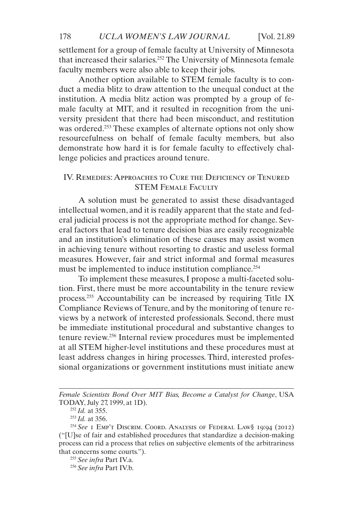settlement for a group of female faculty at University of Minnesota that increased their salaries.252 The University of Minnesota female faculty members were also able to keep their jobs.

Another option available to STEM female faculty is to conduct a media blitz to draw attention to the unequal conduct at the institution. A media blitz action was prompted by a group of female faculty at MIT, and it resulted in recognition from the university president that there had been misconduct, and restitution was ordered.<sup>253</sup> These examples of alternate options not only show resourcefulness on behalf of female faculty members, but also demonstrate how hard it is for female faculty to effectively challenge policies and practices around tenure.

# IV. Remedies: Approaches to Cure the Deficiency of Tenured STEM FEMALE FACULTY

A solution must be generated to assist these disadvantaged intellectual women, and it is readily apparent that the state and federal judicial process is not the appropriate method for change. Several factors that lead to tenure decision bias are easily recognizable and an institution's elimination of these causes may assist women in achieving tenure without resorting to drastic and useless formal measures. However, fair and strict informal and formal measures must be implemented to induce institution compliance.<sup>254</sup>

To implement these measures, I propose a multi-faceted solution. First, there must be more accountability in the tenure review process.255 Accountability can be increased by requiring Title IX Compliance Reviews of Tenure, and by the monitoring of tenure reviews by a network of interested professionals. Second, there must be immediate institutional procedural and substantive changes to tenure review.256 Internal review procedures must be implemented at all STEM higher-level institutions and these procedures must at least address changes in hiring processes. Third, interested professional organizations or government institutions must initiate anew

*Female Scientists Bond Over MIT Bias, Become a Catalyst for Change*, USA TODAY, July 27, 1999, at 1D).

<sup>252</sup> *Id.* at 355.

<sup>253</sup> *Id.* at 356.

<sup>254</sup> *See* 1 Emp't Discrim. Coord. Analysis of Federal Law§ 19:94 (2012) ("[U]se of fair and established procedures that standardize a decision-making process can rid a process that relies on subjective elements of the arbitrariness that concerns some courts.").

<sup>255</sup> *See infra* Part IV.a.

<sup>256</sup> *See infra* Part IV.b.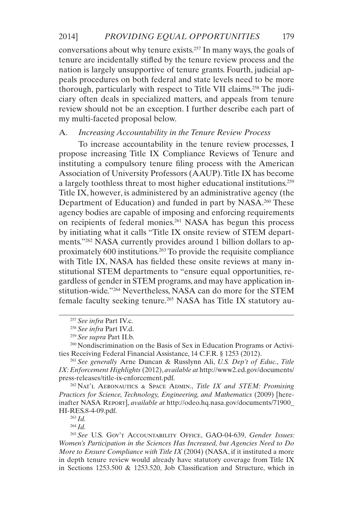conversations about why tenure exists.257 In many ways, the goals of tenure are incidentally stifled by the tenure review process and the nation is largely unsupportive of tenure grants. Fourth, judicial appeals procedures on both federal and state levels need to be more thorough, particularly with respect to Title VII claims.258 The judiciary often deals in specialized matters, and appeals from tenure review should not be an exception. I further describe each part of my multi-faceted proposal below.

# A. *Increasing Accountability in the Tenure Review Process*

To increase accountability in the tenure review processes, I propose increasing Title IX Compliance Reviews of Tenure and instituting a compulsory tenure filing process with the American Association of University Professors (AAUP). Title IX has become a largely toothless threat to most higher educational institutions.<sup>259</sup> Title IX, however, is administered by an administrative agency (the Department of Education) and funded in part by NASA.<sup>260</sup> These agency bodies are capable of imposing and enforcing requirements on recipients of federal monies.261 NASA has begun this process by initiating what it calls "Title IX onsite review of STEM departments."262 NASA currently provides around 1 billion dollars to approximately 600 institutions.263 To provide the requisite compliance with Title IX, NASA has fielded these onsite reviews at many institutional STEM departments to "ensure equal opportunities, regardless of gender in STEM programs, and may have application institution-wide."264 Nevertheless, NASA can do more for the STEM female faculty seeking tenure.265 NASA has Title IX statutory au-

<sup>263</sup> *Id.*

<sup>264</sup> *Id.*

<sup>257</sup> *See infra* Part IV.c.

<sup>258</sup> *See infra* Part IV.d.

<sup>259</sup> *See supra* Part II.b.

<sup>260</sup> Nondiscrimination on the Basis of Sex in Education Programs or Activities Receiving Federal Financial Assistance, 14 C.F.R. § 1253 (2012).

<sup>261</sup> *See generally* Arne Duncan & Russlynn Ali, *U.S. Dep't of Educ., Title IX: Enforcement Highlights* (2012), *available at* [http://www2.ed.gov/documents/](http://www2.ed.gov/documents/press-releases/title-ix-enforcement.pdf.) [press-releases/title-ix-enforcement.pdf.](http://www2.ed.gov/documents/press-releases/title-ix-enforcement.pdf.)

<sup>262</sup> Nat'l Aeronautics & Space Admin., *Title IX and STEM: Promising Practices for Science, Technology, Engineering, and Mathematics* (2009) [hereinafter NASA Report], *available at* [http://odeo.hq.nasa.gov/documents/71900\\_](http://odeo.hq.nasa.gov/documents/71900_HI-RES.8-4-09.pdf.) [HI-RES.8-4-09.pdf.](http://odeo.hq.nasa.gov/documents/71900_HI-RES.8-4-09.pdf.)

<sup>265</sup> *See* U.S. Gov't Accountability Office, GAO-04-639, *Gender Issues: Women's Participation in the Sciences Has Increased, but Agencies Need to Do More to Ensure Compliance with Title IX* (2004) (NASA, if it instituted a more in depth tenure review would already have statutory coverage from Title IX in Sections 1253.500 & 1253.520, Job Classification and Structure, which in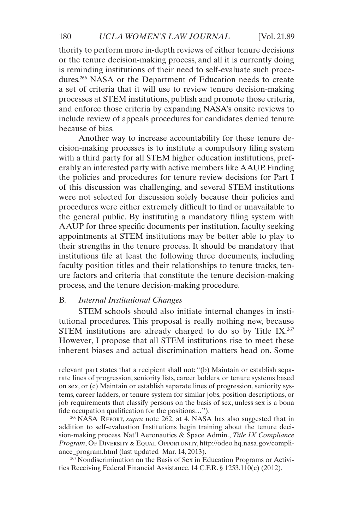thority to perform more in-depth reviews of either tenure decisions or the tenure decision-making process, and all it is currently doing is reminding institutions of their need to self-evaluate such procedures.266 NASA or the Department of Education needs to create a set of criteria that it will use to review tenure decision-making processes at STEM institutions, publish and promote those criteria, and enforce those criteria by expanding NASA's onsite reviews to include review of appeals procedures for candidates denied tenure because of bias.

Another way to increase accountability for these tenure decision-making processes is to institute a compulsory filing system with a third party for all STEM higher education institutions, preferably an interested party with active members like AAUP. Finding the policies and procedures for tenure review decisions for Part I of this discussion was challenging, and several STEM institutions were not selected for discussion solely because their policies and procedures were either extremely difficult to find or unavailable to the general public. By instituting a mandatory filing system with AAUP for three specific documents per institution, faculty seeking appointments at STEM institutions may be better able to play to their strengths in the tenure process. It should be mandatory that institutions file at least the following three documents, including faculty position titles and their relationships to tenure tracks, tenure factors and criteria that constitute the tenure decision-making process, and the tenure decision-making procedure.

# B. *Internal Institutional Changes*

STEM schools should also initiate internal changes in institutional procedures. This proposal is really nothing new, because STEM institutions are already charged to do so by Title  $IX.^{267}$ However, I propose that all STEM institutions rise to meet these inherent biases and actual discrimination matters head on. Some

<sup>266</sup> NASA Report, *supra* note 262, at 4. NASA has also suggested that in addition to self-evaluation Institutions begin training about the tenure decision-making process. Nat'l Aeronautics & Space Admin., *Title IX Compliance*  Program, OF DIVERSITY & EQUAL OPPORTUNITY, [http://odeo.hq.nasa.gov/compli](http://odeo.hq.nasa.gov/compliance_program.html )[ance\\_program.html \(](http://odeo.hq.nasa.gov/compliance_program.html )last updated Mar. 14, 2013).

<sup>267</sup> Nondiscrimination on the Basis of Sex in Education Programs or Activities Receiving Federal Financial Assistance, 14 C.F.R. § 1253.110(c) (2012).

relevant part states that a recipient shall not: "(b) Maintain or establish separate lines of progression, seniority lists, career ladders, or tenure systems based on sex, or (c) Maintain or establish separate lines of progression, seniority systems, career ladders, or tenure system for similar jobs, position descriptions, or job requirements that classify persons on the basis of sex, unless sex is a bona fide occupation qualification for the positions…").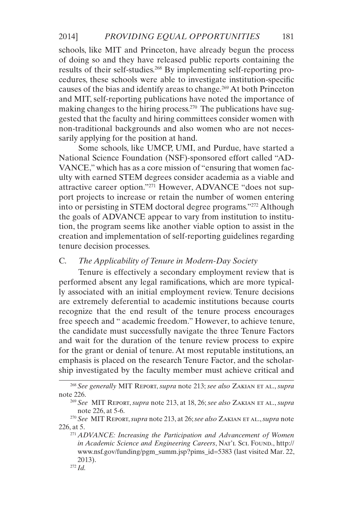schools, like MIT and Princeton, have already begun the process of doing so and they have released public reports containing the results of their self-studies.268 By implementing self-reporting procedures, these schools were able to investigate institution-specific causes of the bias and identify areas to change.<sup>269</sup> At both Princeton and MIT, self-reporting publications have noted the importance of making changes to the hiring process.<sup>270</sup> The publications have suggested that the faculty and hiring committees consider women with non-traditional backgrounds and also women who are not necessarily applying for the position at hand.

Some schools, like UMCP, UMI, and Purdue, have started a National Science Foundation (NSF)-sponsored effort called "AD-VANCE," which has as a core mission of "ensuring that women faculty with earned STEM degrees consider academia as a viable and attractive career option."271 However, ADVANCE "does not support projects to increase or retain the number of women entering into or persisting in STEM doctoral degree programs."272 Although the goals of ADVANCE appear to vary from institution to institution, the program seems like another viable option to assist in the creation and implementation of self-reporting guidelines regarding tenure decision processes.

# C. *The Applicability of Tenure in Modern-Day Society*

Tenure is effectively a secondary employment review that is performed absent any legal ramifications, which are more typically associated with an initial employment review. Tenure decisions are extremely deferential to academic institutions because courts recognize that the end result of the tenure process encourages free speech and " academic freedom." However, to achieve tenure, the candidate must successfully navigate the three Tenure Factors and wait for the duration of the tenure review process to expire for the grant or denial of tenure. At most reputable institutions, an emphasis is placed on the research Tenure Factor, and the scholarship investigated by the faculty member must achieve critical and

<sup>268</sup> *See generally* MIT Report, *supra* note 213; *see also* Zakian et al., *supra*  note 226.

<sup>269</sup> *See* MIT Report, *supra* note 213, at 18, 26; *see also* Zakian et al., *supra*  note 226, at 5-6.

<sup>270</sup> *See* MIT Report, *supra* note 213, at 26; *see also* Zakian et al., *supra* note 226, at 5.

<sup>271</sup> *ADVANCE: Increasing the Participation and Advancement of Women*  in Academic Science and Engineering Careers, NAT'L Sci. Found., [http://](http://www.nsf.gov/funding/pgm_summ.jsp?pims_id=5383 ) [www.nsf.gov/funding/pgm\\_summ.jsp?pims\\_id=5383](http://www.nsf.gov/funding/pgm_summ.jsp?pims_id=5383 ) (last visited Mar. 22, 2013).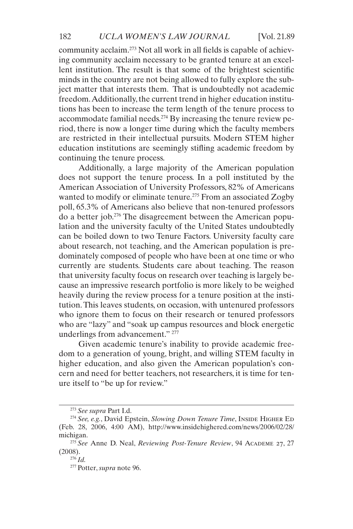community acclaim.273 Not all work in all fields is capable of achieving community acclaim necessary to be granted tenure at an excellent institution. The result is that some of the brightest scientific minds in the country are not being allowed to fully explore the subject matter that interests them. That is undoubtedly not academic freedom. Additionally, the current trend in higher education institutions has been to increase the term length of the tenure process to accommodate familial needs.274 By increasing the tenure review period, there is now a longer time during which the faculty members are restricted in their intellectual pursuits. Modern STEM higher education institutions are seemingly stifling academic freedom by continuing the tenure process.

Additionally, a large majority of the American population does not support the tenure process. In a poll instituted by the American Association of University Professors, 82% of Americans wanted to modify or eliminate tenure.<sup>275</sup> From an associated Zogby poll, 65.3% of Americans also believe that non-tenured professors do a better job.276 The disagreement between the American population and the university faculty of the United States undoubtedly can be boiled down to two Tenure Factors. University faculty care about research, not teaching, and the American population is predominately composed of people who have been at one time or who currently are students. Students care about teaching. The reason that university faculty focus on research over teaching is largely because an impressive research portfolio is more likely to be weighed heavily during the review process for a tenure position at the institution. This leaves students, on occasion, with untenured professors who ignore them to focus on their research or tenured professors who are "lazy" and "soak up campus resources and block energetic underlings from advancement." 277

Given academic tenure's inability to provide academic freedom to a generation of young, bright, and willing STEM faculty in higher education, and also given the American population's concern and need for better teachers, not researchers, it is time for tenure itself to "be up for review."

<sup>273</sup> *See supra* Part I.d.

<sup>&</sup>lt;sup>274</sup> See, e.g., David Epstein, *Slowing Down Tenure Time*, INSIDE HIGHER ED (Feb. 28, 2006, 4:00 AM), [http://www.insidehighered.com/news/2006/02/28/](http://www.insidehighered.com/news/2006/02/28/michigan.) [michigan.](http://www.insidehighered.com/news/2006/02/28/michigan.)

<sup>275</sup> *See* Anne D. Neal, *Reviewing Post-Tenure Review*, 94 Academe 27, 27 (2008).

<sup>276</sup> *Id.*

<sup>277</sup> Potter, *supra* note 96.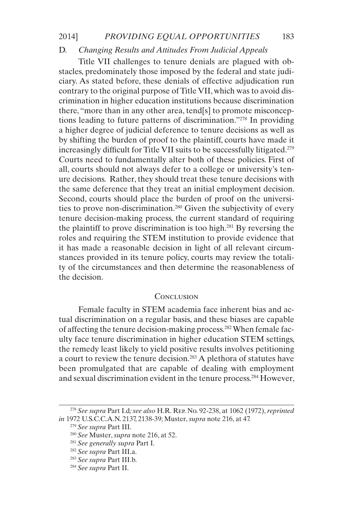### D. *Changing Results and Attitudes From Judicial Appeals*

Title VII challenges to tenure denials are plagued with obstacles, predominately those imposed by the federal and state judiciary. As stated before, these denials of effective adjudication run contrary to the original purpose of Title VII, which was to avoid discrimination in higher education institutions because discrimination there, "more than in any other area, tend[s] to promote misconceptions leading to future patterns of discrimination."278 In providing a higher degree of judicial deference to tenure decisions as well as by shifting the burden of proof to the plaintiff, courts have made it increasingly difficult for Title VII suits to be successfully litigated.<sup>279</sup> Courts need to fundamentally alter both of these policies. First of all, courts should not always defer to a college or university's tenure decisions. Rather, they should treat these tenure decisions with the same deference that they treat an initial employment decision. Second, courts should place the burden of proof on the universities to prove non-discrimination.280 Given the subjectivity of every tenure decision-making process, the current standard of requiring the plaintiff to prove discrimination is too high.<sup>281</sup> By reversing the roles and requiring the STEM institution to provide evidence that it has made a reasonable decision in light of all relevant circumstances provided in its tenure policy, courts may review the totality of the circumstances and then determine the reasonableness of the decision.

### **CONCLUSION**

Female faculty in STEM academia face inherent bias and actual discrimination on a regular basis, and these biases are capable of affecting the tenure decision-making process.282 When female faculty face tenure discrimination in higher education STEM settings, the remedy least likely to yield positive results involves petitioning a court to review the tenure decision.283 A plethora of statutes have been promulgated that are capable of dealing with employment and sexual discrimination evident in the tenure process.284 However,

<sup>278</sup> *See supra* Part I.d*; see also* H.R. Rep. No. 92-238, at 1062 (1972), *reprinted in* 1972 U.S.C.C.A.N. 2137, 2138-39; Muster, *supra* note 216, at 47.

<sup>279</sup> *See supra* Part III.

<sup>280</sup> *See* Muster, *supra* note 216, at 52.

<sup>281</sup> *See generally supra* Part I.

<sup>282</sup> *See supra* Part III.a.

<sup>283</sup> *See supra* Part III.b.

<sup>284</sup> *See supra* Part II.